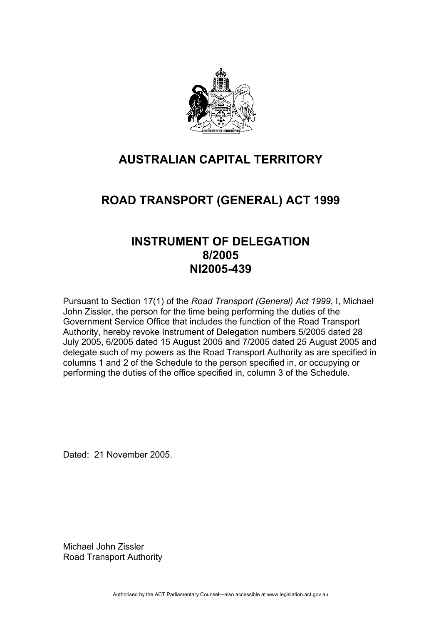

# **AUSTRALIAN CAPITAL TERRITORY**

# **ROAD TRANSPORT (GENERAL) ACT 1999**

# **INSTRUMENT OF DELEGATION 8/2005 NI2005-439**

Pursuant to Section 17(1) of the *Road Transport (General) Act 1999*, I, Michael John Zissler, the person for the time being performing the duties of the Government Service Office that includes the function of the Road Transport Authority, hereby revoke Instrument of Delegation numbers 5/2005 dated 28 July 2005, 6/2005 dated 15 August 2005 and 7/2005 dated 25 August 2005 and delegate such of my powers as the Road Transport Authority as are specified in columns 1 and 2 of the Schedule to the person specified in, or occupying or performing the duties of the office specified in, column 3 of the Schedule.

Dated: 21 November 2005.

Michael John Zissler Road Transport Authority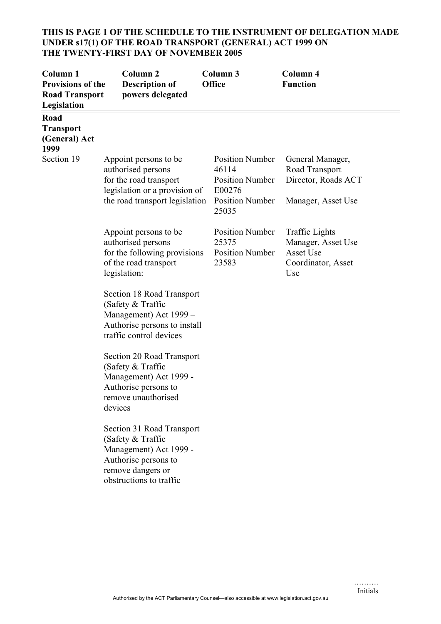# **THIS IS PAGE 1 OF THE SCHEDULE TO THE INSTRUMENT OF DELEGATION MADE UNDER s17(1) OF THE ROAD TRANSPORT (GENERAL) ACT 1999 ON THE TWENTY-FIRST DAY OF NOVEMBER 2005**

| Column <sub>1</sub><br><b>Provisions of the</b><br><b>Road Transport</b><br>Legislation | Column <sub>2</sub><br><b>Description of</b><br>powers delegated                                                                                 | Column <sub>3</sub><br>Office                                                                          | Column 4<br><b>Function</b>                                                           |
|-----------------------------------------------------------------------------------------|--------------------------------------------------------------------------------------------------------------------------------------------------|--------------------------------------------------------------------------------------------------------|---------------------------------------------------------------------------------------|
| Road<br><b>Transport</b><br>(General) Act<br>1999                                       |                                                                                                                                                  |                                                                                                        |                                                                                       |
| Section 19                                                                              | Appoint persons to be<br>authorised persons<br>for the road transport<br>legislation or a provision of<br>the road transport legislation         | <b>Position Number</b><br>46114<br><b>Position Number</b><br>E00276<br><b>Position Number</b><br>25035 | General Manager,<br>Road Transport<br>Director, Roads ACT<br>Manager, Asset Use       |
|                                                                                         | Appoint persons to be<br>authorised persons<br>for the following provisions<br>of the road transport<br>legislation:                             | <b>Position Number</b><br>25375<br><b>Position Number</b><br>23583                                     | <b>Traffic Lights</b><br>Manager, Asset Use<br>Asset Use<br>Coordinator, Asset<br>Use |
|                                                                                         | Section 18 Road Transport<br>(Safety & Traffic<br>Management) Act 1999 -<br>Authorise persons to install<br>traffic control devices              |                                                                                                        |                                                                                       |
|                                                                                         | Section 20 Road Transport<br>(Safety & Traffic<br>Management) Act 1999 -<br>Authorise persons to<br>remove unauthorised<br>devices               |                                                                                                        |                                                                                       |
|                                                                                         | Section 31 Road Transport<br>(Safety & Traffic<br>Management) Act 1999 -<br>Authorise persons to<br>remove dangers or<br>obstructions to traffic |                                                                                                        |                                                                                       |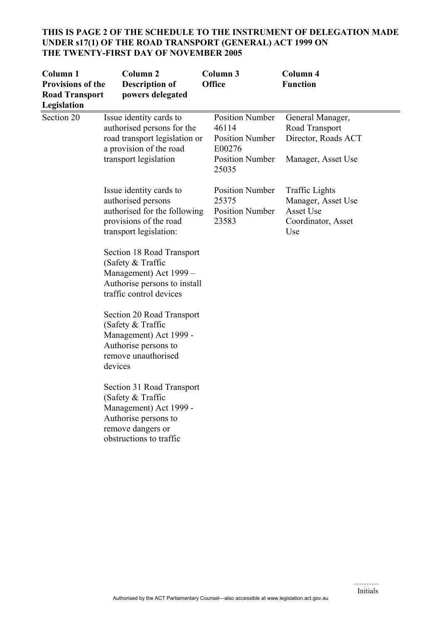# **THIS IS PAGE 2 OF THE SCHEDULE TO THE INSTRUMENT OF DELEGATION MADE UNDER s17(1) OF THE ROAD TRANSPORT (GENERAL) ACT 1999 ON THE TWENTY-FIRST DAY OF NOVEMBER 2005**

| Column 1<br><b>Provisions of the</b><br><b>Road Transport</b><br>Legislation | Column <sub>2</sub><br><b>Description of</b><br>powers delegated                                                                                                                                                                                                                                                                                                                                                                                                                             | Column 3<br><b>Office</b>                                                                              | Column 4<br><b>Function</b>                                                           |
|------------------------------------------------------------------------------|----------------------------------------------------------------------------------------------------------------------------------------------------------------------------------------------------------------------------------------------------------------------------------------------------------------------------------------------------------------------------------------------------------------------------------------------------------------------------------------------|--------------------------------------------------------------------------------------------------------|---------------------------------------------------------------------------------------|
| Section 20                                                                   | Issue identity cards to<br>authorised persons for the<br>road transport legislation or<br>a provision of the road<br>transport legislation                                                                                                                                                                                                                                                                                                                                                   | <b>Position Number</b><br>46114<br><b>Position Number</b><br>E00276<br><b>Position Number</b><br>25035 | General Manager,<br>Road Transport<br>Director, Roads ACT<br>Manager, Asset Use       |
|                                                                              | Issue identity cards to<br>authorised persons<br>authorised for the following<br>provisions of the road<br>transport legislation:<br>Section 18 Road Transport<br>(Safety & Traffic<br>Management) Act 1999 -<br>Authorise persons to install<br>traffic control devices<br>Section 20 Road Transport<br>(Safety & Traffic<br>Management) Act 1999 -<br>Authorise persons to<br>remove unauthorised<br>devices<br>Section 31 Road Transport<br>(Safety $&$ Traffic<br>Management) Act 1999 - | <b>Position Number</b><br>25375<br><b>Position Number</b><br>23583                                     | <b>Traffic Lights</b><br>Manager, Asset Use<br>Asset Use<br>Coordinator, Asset<br>Use |
|                                                                              | Authorise persons to<br>remove dangers or<br>obstructions to traffic                                                                                                                                                                                                                                                                                                                                                                                                                         |                                                                                                        |                                                                                       |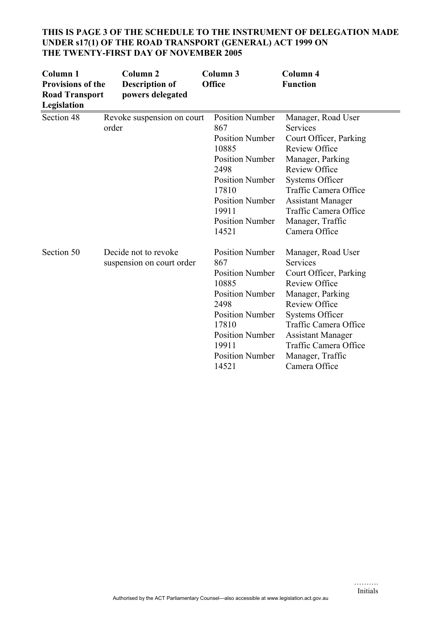| Column <sub>1</sub><br><b>Provisions of the</b><br><b>Road Transport</b><br>Legislation | Column <sub>2</sub><br><b>Description of</b><br>powers delegated | Column 3<br><b>Office</b>                                                                                                                                                                                   | Column 4<br><b>Function</b>                                                                                                                                                                                                                                                      |
|-----------------------------------------------------------------------------------------|------------------------------------------------------------------|-------------------------------------------------------------------------------------------------------------------------------------------------------------------------------------------------------------|----------------------------------------------------------------------------------------------------------------------------------------------------------------------------------------------------------------------------------------------------------------------------------|
| Section 48                                                                              | Revoke suspension on court<br>order                              | <b>Position Number</b><br>867<br><b>Position Number</b><br>10885<br><b>Position Number</b><br>2498<br><b>Position Number</b><br>17810<br><b>Position Number</b><br>19911<br><b>Position Number</b><br>14521 | Manager, Road User<br>Services<br>Court Officer, Parking<br><b>Review Office</b><br>Manager, Parking<br><b>Review Office</b><br><b>Systems Officer</b><br><b>Traffic Camera Office</b><br><b>Assistant Manager</b><br>Traffic Camera Office<br>Manager, Traffic<br>Camera Office |
| Section 50                                                                              | Decide not to revoke<br>suspension on court order                | <b>Position Number</b><br>867<br><b>Position Number</b><br>10885<br><b>Position Number</b><br>2498<br><b>Position Number</b><br>17810<br><b>Position Number</b><br>19911<br><b>Position Number</b><br>14521 | Manager, Road User<br>Services<br>Court Officer, Parking<br><b>Review Office</b><br>Manager, Parking<br><b>Review Office</b><br><b>Systems Officer</b><br>Traffic Camera Office<br><b>Assistant Manager</b><br>Traffic Camera Office<br>Manager, Traffic<br>Camera Office        |

#### **THIS IS PAGE 3 OF THE SCHEDULE TO THE INSTRUMENT OF DELEGATION MADE UNDER s17(1) OF THE ROAD TRANSPORT (GENERAL) ACT 1999 ON THE TWENTY-FIRST DAY OF NOVEMBER 2005**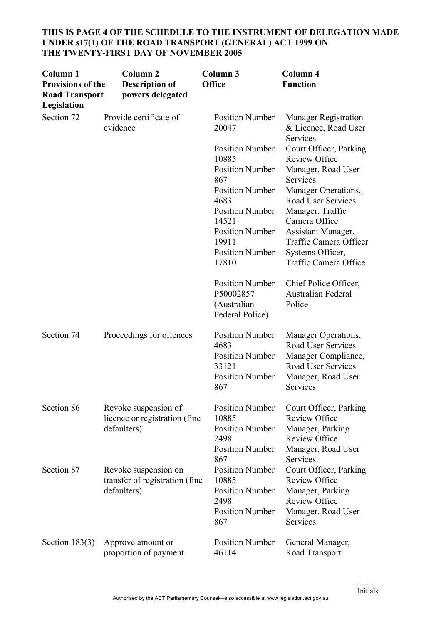| Column 1<br>Provisions of the<br><b>Road Transport</b><br>Legislation | Column <sub>2</sub><br><b>Description of</b><br>powers delegated      | Column 3<br><b>Office</b>                                                                          | <b>Column 4</b><br><b>Function</b>                                                                                       |
|-----------------------------------------------------------------------|-----------------------------------------------------------------------|----------------------------------------------------------------------------------------------------|--------------------------------------------------------------------------------------------------------------------------|
| Section 72                                                            | Provide certificate of<br>evidence                                    | <b>Position Number</b><br>20047                                                                    | <b>Manager Registration</b><br>& Licence, Road User<br>Services                                                          |
|                                                                       |                                                                       | <b>Position Number</b><br>10885                                                                    | Court Officer, Parking<br><b>Review Office</b>                                                                           |
|                                                                       |                                                                       | <b>Position Number</b><br>867                                                                      | Manager, Road User<br>Services                                                                                           |
|                                                                       |                                                                       | <b>Position Number</b><br>4683                                                                     | Manager Operations,<br>Road User Services                                                                                |
|                                                                       |                                                                       | <b>Position Number</b><br>14521                                                                    | Manager, Traffic<br>Camera Office                                                                                        |
|                                                                       |                                                                       | <b>Position Number</b><br>19911                                                                    | Assistant Manager,<br>Traffic Camera Officer                                                                             |
|                                                                       |                                                                       | <b>Position Number</b><br>17810                                                                    | Systems Officer,<br>Traffic Camera Office                                                                                |
|                                                                       |                                                                       | <b>Position Number</b><br>P50002857<br>(Australian<br>Federal Police)                              | Chief Police Officer,<br>Australian Federal<br>Police                                                                    |
| Section 74                                                            | Proceedings for offences                                              | <b>Position Number</b><br>4683<br><b>Position Number</b><br>33121<br><b>Position Number</b><br>867 | Manager Operations,<br>Road User Services<br>Manager Compliance,<br>Road User Services<br>Manager, Road User<br>Services |
| Section 86                                                            | Revoke suspension of<br>licence or registration (fine)<br>defaulters) | <b>Position Number</b><br>10885<br><b>Position Number</b>                                          | Court Officer, Parking<br><b>Review Office</b><br>Manager, Parking                                                       |
|                                                                       |                                                                       | 2498<br><b>Position Number</b><br>867                                                              | <b>Review Office</b><br>Manager, Road User<br>Services                                                                   |
| Section 87                                                            | Revoke suspension on<br>transfer of registration (fine                | <b>Position Number</b><br>10885                                                                    | Court Officer, Parking<br><b>Review Office</b>                                                                           |
|                                                                       | defaulters)                                                           | <b>Position Number</b><br>2498<br><b>Position Number</b><br>867                                    | Manager, Parking<br><b>Review Office</b><br>Manager, Road User<br>Services                                               |
| Section $183(3)$                                                      | Approve amount or                                                     | <b>Position Number</b>                                                                             | General Manager,                                                                                                         |
|                                                                       | proportion of payment                                                 | 46114                                                                                              | Road Transport                                                                                                           |

# **THIS IS PAGE 4 OF THE SCHEDULE TO THE INSTRUMENT OF DELEGATION MADE UNDER s17(1) OF THE ROAD TRANSPORT (GENERAL) ACT 1999 ON THE TWENTY-FIRST DAY OF NOVEMBER 2005**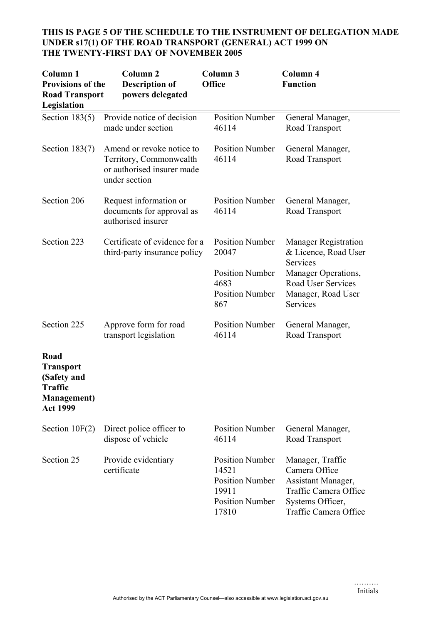# **THIS IS PAGE 5 OF THE SCHEDULE TO THE INSTRUMENT OF DELEGATION MADE UNDER s17(1) OF THE ROAD TRANSPORT (GENERAL) ACT 1999 ON THE TWENTY-FIRST DAY OF NOVEMBER 2005**

| Column <sub>1</sub><br><b>Provisions of the</b><br><b>Road Transport</b><br>Legislation             | Column <sub>2</sub><br><b>Description of</b><br>powers delegated                                    | Column <sub>3</sub><br><b>Office</b>                                                                  | Column 4<br><b>Function</b>                                                                                                   |
|-----------------------------------------------------------------------------------------------------|-----------------------------------------------------------------------------------------------------|-------------------------------------------------------------------------------------------------------|-------------------------------------------------------------------------------------------------------------------------------|
| Section $183(5)$                                                                                    | Provide notice of decision<br>made under section                                                    | <b>Position Number</b><br>46114                                                                       | General Manager,<br>Road Transport                                                                                            |
| Section $183(7)$                                                                                    | Amend or revoke notice to<br>Territory, Commonwealth<br>or authorised insurer made<br>under section | <b>Position Number</b><br>46114                                                                       | General Manager,<br>Road Transport                                                                                            |
| Section 206                                                                                         | Request information or<br>documents for approval as<br>authorised insurer                           | <b>Position Number</b><br>46114                                                                       | General Manager,<br>Road Transport                                                                                            |
| Section 223                                                                                         | Certificate of evidence for a<br>third-party insurance policy                                       | <b>Position Number</b><br>20047                                                                       | <b>Manager Registration</b><br>& Licence, Road User<br>Services                                                               |
|                                                                                                     |                                                                                                     | <b>Position Number</b><br>4683<br><b>Position Number</b><br>867                                       | Manager Operations,<br><b>Road User Services</b><br>Manager, Road User<br>Services                                            |
| Section 225                                                                                         | Approve form for road<br>transport legislation                                                      | <b>Position Number</b><br>46114                                                                       | General Manager,<br>Road Transport                                                                                            |
| Road<br><b>Transport</b><br>(Safety and<br><b>Traffic</b><br><b>Management</b> )<br><b>Act 1999</b> |                                                                                                     |                                                                                                       |                                                                                                                               |
| Section $10F(2)$                                                                                    | Direct police officer to<br>dispose of vehicle                                                      | <b>Position Number</b><br>46114                                                                       | General Manager,<br>Road Transport                                                                                            |
| Section 25                                                                                          | Provide evidentiary<br>certificate                                                                  | <b>Position Number</b><br>14521<br><b>Position Number</b><br>19911<br><b>Position Number</b><br>17810 | Manager, Traffic<br>Camera Office<br>Assistant Manager,<br>Traffic Camera Office<br>Systems Officer,<br>Traffic Camera Office |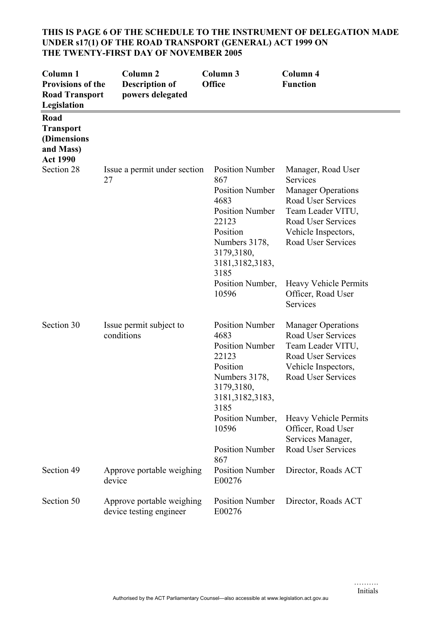# **THIS IS PAGE 6 OF THE SCHEDULE TO THE INSTRUMENT OF DELEGATION MADE UNDER s17(1) OF THE ROAD TRANSPORT (GENERAL) ACT 1999 ON THE TWENTY-FIRST DAY OF NOVEMBER 2005**

| Column <sub>1</sub><br><b>Provisions of the</b><br><b>Road Transport</b><br>Legislation | Column <sub>2</sub><br><b>Description of</b><br>powers delegated | Column 3<br>Office                                                                                                                                                         | Column 4<br><b>Function</b>                                                                                                                                               |
|-----------------------------------------------------------------------------------------|------------------------------------------------------------------|----------------------------------------------------------------------------------------------------------------------------------------------------------------------------|---------------------------------------------------------------------------------------------------------------------------------------------------------------------------|
| Road<br><b>Transport</b><br>(Dimensions<br>and Mass)<br><b>Act 1990</b>                 |                                                                  |                                                                                                                                                                            |                                                                                                                                                                           |
| Section 28                                                                              | Issue a permit under section<br>27                               | <b>Position Number</b><br>867<br><b>Position Number</b><br>4683<br><b>Position Number</b><br>22123<br>Position<br>Numbers 3178,<br>3179,3180,<br>3181, 3182, 3183,<br>3185 | Manager, Road User<br>Services<br><b>Manager Operations</b><br>Road User Services<br>Team Leader VITU,<br>Road User Services<br>Vehicle Inspectors,<br>Road User Services |
|                                                                                         |                                                                  | Position Number,<br>10596                                                                                                                                                  | <b>Heavy Vehicle Permits</b><br>Officer, Road User<br>Services                                                                                                            |
| Section 30                                                                              | Issue permit subject to<br>conditions                            | <b>Position Number</b><br>4683<br><b>Position Number</b><br>22123<br>Position<br>Numbers 3178,<br>3179,3180,<br>3181,3182,3183<br>3185                                     | <b>Manager Operations</b><br>Road User Services<br>Team Leader VITU,<br>Road User Services<br>Vehicle Inspectors,<br>Road User Services                                   |
|                                                                                         |                                                                  | Position Number,<br>10596<br><b>Position Number</b>                                                                                                                        | <b>Heavy Vehicle Permits</b><br>Officer, Road User<br>Services Manager,<br>Road User Services                                                                             |
| Section 49                                                                              | Approve portable weighing<br>device                              | 867<br><b>Position Number</b><br>E00276                                                                                                                                    | Director, Roads ACT                                                                                                                                                       |
| Section 50                                                                              | Approve portable weighing<br>device testing engineer             | <b>Position Number</b><br>E00276                                                                                                                                           | Director, Roads ACT                                                                                                                                                       |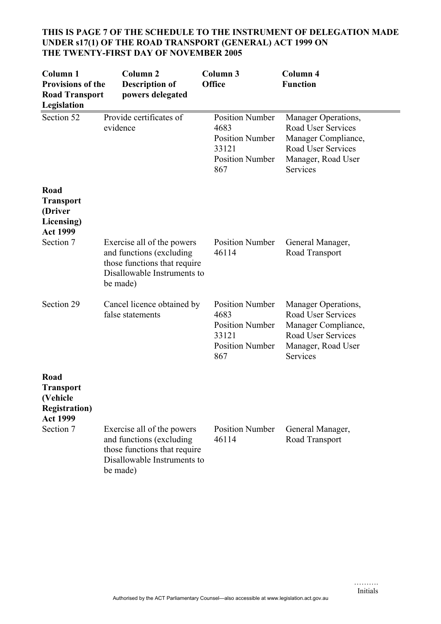| Column <sub>1</sub><br><b>Provisions of the</b><br><b>Road Transport</b><br>Legislation | Column <sub>2</sub><br><b>Description of</b><br>powers delegated                                                                  | Column 3<br><b>Office</b>                                                                          | Column 4<br><b>Function</b>                                                                                                            |
|-----------------------------------------------------------------------------------------|-----------------------------------------------------------------------------------------------------------------------------------|----------------------------------------------------------------------------------------------------|----------------------------------------------------------------------------------------------------------------------------------------|
| Section 52                                                                              | Provide certificates of<br>evidence                                                                                               | <b>Position Number</b><br>4683<br><b>Position Number</b><br>33121<br><b>Position Number</b><br>867 | Manager Operations,<br>Road User Services<br>Manager Compliance,<br><b>Road User Services</b><br>Manager, Road User<br><b>Services</b> |
| Road<br><b>Transport</b><br>(Driver<br>Licensing)<br><b>Act 1999</b>                    |                                                                                                                                   |                                                                                                    |                                                                                                                                        |
| Section 7                                                                               | Exercise all of the powers<br>and functions (excluding<br>those functions that require<br>Disallowable Instruments to<br>be made) | <b>Position Number</b><br>46114                                                                    | General Manager,<br>Road Transport                                                                                                     |
| Section 29                                                                              | Cancel licence obtained by<br>false statements                                                                                    | <b>Position Number</b><br>4683<br><b>Position Number</b><br>33121<br><b>Position Number</b><br>867 | Manager Operations,<br>Road User Services<br>Manager Compliance,<br>Road User Services<br>Manager, Road User<br>Services               |
| Road<br><b>Transport</b><br>(Vehicle<br><b>Registration</b> )<br><b>Act 1999</b>        |                                                                                                                                   |                                                                                                    |                                                                                                                                        |
| Section 7                                                                               | Exercise all of the powers<br>and functions (excluding<br>those functions that require<br>Disallowable Instruments to<br>be made) | <b>Position Number</b><br>46114                                                                    | General Manager,<br>Road Transport                                                                                                     |

# **THIS IS PAGE 7 OF THE SCHEDULE TO THE INSTRUMENT OF DELEGATION MADE UNDER s17(1) OF THE ROAD TRANSPORT (GENERAL) ACT 1999 ON THE TWENTY-FIRST DAY OF NOVEMBER 2005**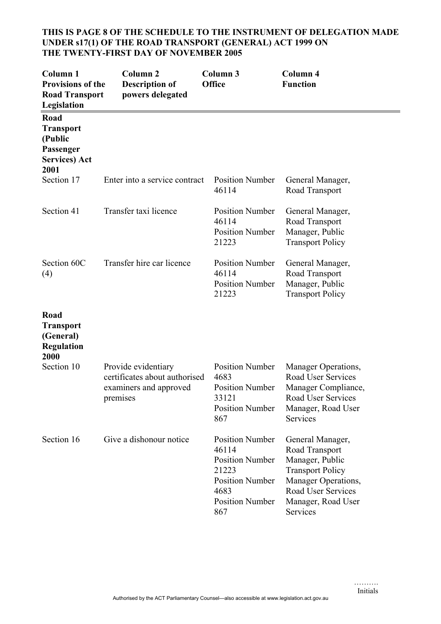## **THIS IS PAGE 8 OF THE SCHEDULE TO THE INSTRUMENT OF DELEGATION MADE UNDER s17(1) OF THE ROAD TRANSPORT (GENERAL) ACT 1999 ON THE TWENTY-FIRST DAY OF NOVEMBER 2005**

| Column <sub>1</sub><br>Provisions of the<br><b>Road Transport</b><br>Legislation  | Column <sub>2</sub><br><b>Description of</b><br>powers delegated                           | Column 3<br>Office                                                                                                                    | Column 4<br><b>Function</b>                                                                                                                                     |
|-----------------------------------------------------------------------------------|--------------------------------------------------------------------------------------------|---------------------------------------------------------------------------------------------------------------------------------------|-----------------------------------------------------------------------------------------------------------------------------------------------------------------|
| Road<br><b>Transport</b><br>(Public<br>Passenger<br><b>Services</b> ) Act<br>2001 |                                                                                            |                                                                                                                                       |                                                                                                                                                                 |
| Section 17                                                                        | Enter into a service contract                                                              | <b>Position Number</b><br>46114                                                                                                       | General Manager,<br>Road Transport                                                                                                                              |
| Section 41                                                                        | Transfer taxi licence                                                                      | <b>Position Number</b><br>46114<br><b>Position Number</b><br>21223                                                                    | General Manager,<br>Road Transport<br>Manager, Public<br><b>Transport Policy</b>                                                                                |
| Section 60C<br>(4)                                                                | Transfer hire car licence                                                                  | <b>Position Number</b><br>46114<br><b>Position Number</b><br>21223                                                                    | General Manager,<br>Road Transport<br>Manager, Public<br><b>Transport Policy</b>                                                                                |
| Road<br><b>Transport</b><br>(General)<br><b>Regulation</b><br>2000                |                                                                                            |                                                                                                                                       |                                                                                                                                                                 |
| Section 10                                                                        | Provide evidentiary<br>certificates about authorised<br>examiners and approved<br>premises | <b>Position Number</b><br>4683<br><b>Position Number</b><br>33121<br><b>Position Number</b><br>867                                    | Manager Operations,<br><b>Road User Services</b><br>Manager Compliance,<br>Road User Services<br>Manager, Road User<br>Services                                 |
| Section 16                                                                        | Give a dishonour notice                                                                    | <b>Position Number</b><br>46114<br><b>Position Number</b><br>21223<br><b>Position Number</b><br>4683<br><b>Position Number</b><br>867 | General Manager,<br>Road Transport<br>Manager, Public<br><b>Transport Policy</b><br>Manager Operations,<br>Road User Services<br>Manager, Road User<br>Services |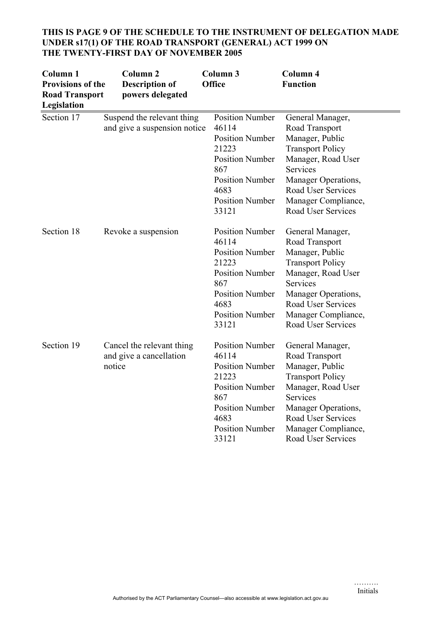| Column <sub>1</sub><br>Provisions of the<br><b>Road Transport</b><br>Legislation | Column <sub>2</sub><br><b>Description of</b><br>powers delegated | Column 3<br>Office                                                                                                                                                       | <b>Column 4</b><br><b>Function</b>                                                                                                                                                                                  |
|----------------------------------------------------------------------------------|------------------------------------------------------------------|--------------------------------------------------------------------------------------------------------------------------------------------------------------------------|---------------------------------------------------------------------------------------------------------------------------------------------------------------------------------------------------------------------|
| Section 17                                                                       | Suspend the relevant thing<br>and give a suspension notice       | <b>Position Number</b><br>46114<br><b>Position Number</b><br>21223<br><b>Position Number</b><br>867<br><b>Position Number</b><br>4683<br><b>Position Number</b><br>33121 | General Manager,<br>Road Transport<br>Manager, Public<br><b>Transport Policy</b><br>Manager, Road User<br>Services<br>Manager Operations,<br>Road User Services<br>Manager Compliance,<br><b>Road User Services</b> |
| Section 18                                                                       | Revoke a suspension                                              | <b>Position Number</b><br>46114<br><b>Position Number</b><br>21223<br><b>Position Number</b><br>867<br><b>Position Number</b><br>4683<br><b>Position Number</b><br>33121 | General Manager,<br>Road Transport<br>Manager, Public<br><b>Transport Policy</b><br>Manager, Road User<br>Services<br>Manager Operations,<br>Road User Services<br>Manager Compliance,<br><b>Road User Services</b> |
| Section 19                                                                       | Cancel the relevant thing<br>and give a cancellation<br>notice   | <b>Position Number</b><br>46114<br><b>Position Number</b><br>21223<br><b>Position Number</b><br>867<br><b>Position Number</b><br>4683<br><b>Position Number</b><br>33121 | General Manager,<br>Road Transport<br>Manager, Public<br><b>Transport Policy</b><br>Manager, Road User<br>Services<br>Manager Operations,<br>Road User Services<br>Manager Compliance,<br>Road User Services        |

# **THIS IS PAGE 9 OF THE SCHEDULE TO THE INSTRUMENT OF DELEGATION MADE UNDER s17(1) OF THE ROAD TRANSPORT (GENERAL) ACT 1999 ON THE TWENTY-FIRST DAY OF NOVEMBER 2005**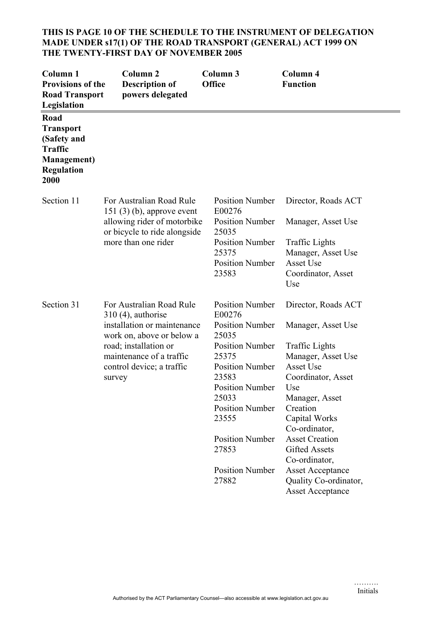# **THIS IS PAGE 10 OF THE SCHEDULE TO THE INSTRUMENT OF DELEGATION MADE UNDER s17(1) OF THE ROAD TRANSPORT (GENERAL) ACT 1999 ON THE TWENTY-FIRST DAY OF NOVEMBER 2005**

| Column <sub>1</sub><br><b>Provisions of the</b><br><b>Road Transport</b><br>Legislation                       | Column <sub>2</sub><br><b>Description of</b><br>powers delegated                                                                                                                                         | <b>Column 3</b><br><b>Office</b>                                                                                                                                                                                                                                                      | Column 4<br><b>Function</b>                                                                                                                                                                                                                                                                                                                         |
|---------------------------------------------------------------------------------------------------------------|----------------------------------------------------------------------------------------------------------------------------------------------------------------------------------------------------------|---------------------------------------------------------------------------------------------------------------------------------------------------------------------------------------------------------------------------------------------------------------------------------------|-----------------------------------------------------------------------------------------------------------------------------------------------------------------------------------------------------------------------------------------------------------------------------------------------------------------------------------------------------|
| Road<br><b>Transport</b><br>(Safety and<br><b>Traffic</b><br><b>Management</b> )<br><b>Regulation</b><br>2000 |                                                                                                                                                                                                          |                                                                                                                                                                                                                                                                                       |                                                                                                                                                                                                                                                                                                                                                     |
| Section 11                                                                                                    | For Australian Road Rule<br>$151(3)(b)$ , approve event<br>allowing rider of motorbike<br>or bicycle to ride alongside<br>more than one rider                                                            | <b>Position Number</b><br>E00276<br><b>Position Number</b><br>25035<br><b>Position Number</b><br>25375<br><b>Position Number</b><br>23583                                                                                                                                             | Director, Roads ACT<br>Manager, Asset Use<br><b>Traffic Lights</b><br>Manager, Asset Use<br>Asset Use<br>Coordinator, Asset<br>Use                                                                                                                                                                                                                  |
| Section 31                                                                                                    | For Australian Road Rule<br>$310(4)$ , authorise<br>installation or maintenance<br>work on, above or below a<br>road; installation or<br>maintenance of a traffic<br>control device; a traffic<br>survey | <b>Position Number</b><br>E00276<br><b>Position Number</b><br>25035<br><b>Position Number</b><br>25375<br><b>Position Number</b><br>23583<br><b>Position Number</b><br>25033<br><b>Position Number</b><br>23555<br><b>Position Number</b><br>27853<br><b>Position Number</b><br>27882 | Director, Roads ACT<br>Manager, Asset Use<br><b>Traffic Lights</b><br>Manager, Asset Use<br>Asset Use<br>Coordinator, Asset<br>Use<br>Manager, Asset<br>Creation<br>Capital Works<br>Co-ordinator,<br><b>Asset Creation</b><br><b>Gifted Assets</b><br>Co-ordinator,<br><b>Asset Acceptance</b><br>Quality Co-ordinator,<br><b>Asset Acceptance</b> |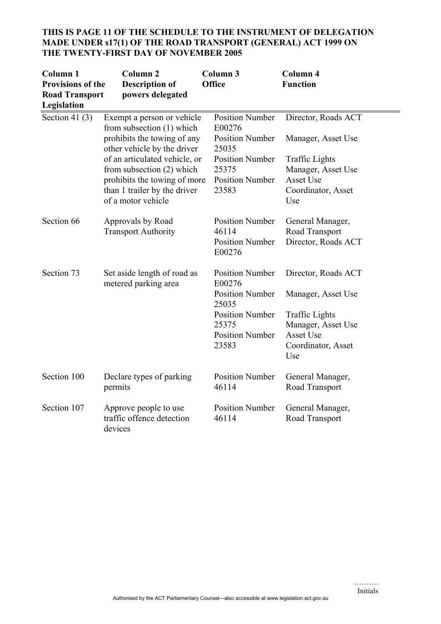# **THIS IS PAGE 11 OF THE SCHEDULE TO THE INSTRUMENT OF DELEGATION MADE UNDER s17(1) OF THE ROAD TRANSPORT (GENERAL) ACT 1999 ON THE TWENTY-FIRST DAY OF NOVEMBER 2005**

| Column <sub>1</sub><br><b>Provisions of the</b><br><b>Road Transport</b><br>Legislation | Column <sub>2</sub><br><b>Description of</b><br>powers delegated                                                                                                                                                                                                            | <b>Column 3</b><br><b>Office</b>                                                                                                          | Column 4<br><b>Function</b>                                                                                                        |
|-----------------------------------------------------------------------------------------|-----------------------------------------------------------------------------------------------------------------------------------------------------------------------------------------------------------------------------------------------------------------------------|-------------------------------------------------------------------------------------------------------------------------------------------|------------------------------------------------------------------------------------------------------------------------------------|
| Section 41 $(3)$                                                                        | Exempt a person or vehicle<br>from subsection $(1)$ which<br>prohibits the towing of any<br>other vehicle by the driver<br>of an articulated vehicle, or<br>from subsection (2) which<br>prohibits the towing of more<br>than 1 trailer by the driver<br>of a motor vehicle | <b>Position Number</b><br>E00276<br><b>Position Number</b><br>25035<br><b>Position Number</b><br>25375<br><b>Position Number</b><br>23583 | Director, Roads ACT<br>Manager, Asset Use<br><b>Traffic Lights</b><br>Manager, Asset Use<br>Asset Use<br>Coordinator, Asset<br>Use |
| Section 66                                                                              | Approvals by Road<br><b>Transport Authority</b>                                                                                                                                                                                                                             | <b>Position Number</b><br>46114<br><b>Position Number</b><br>E00276                                                                       | General Manager,<br>Road Transport<br>Director, Roads ACT                                                                          |
| Section 73                                                                              | Set aside length of road as<br>metered parking area                                                                                                                                                                                                                         | <b>Position Number</b><br>E00276<br><b>Position Number</b><br>25035<br><b>Position Number</b><br>25375<br><b>Position Number</b><br>23583 | Director, Roads ACT<br>Manager, Asset Use<br><b>Traffic Lights</b><br>Manager, Asset Use<br>Asset Use<br>Coordinator, Asset<br>Use |
| Section 100                                                                             | Declare types of parking<br>permits                                                                                                                                                                                                                                         | <b>Position Number</b><br>46114                                                                                                           | General Manager,<br>Road Transport                                                                                                 |
| Section 107                                                                             | Approve people to use<br>traffic offence detection<br>devices                                                                                                                                                                                                               | <b>Position Number</b><br>46114                                                                                                           | General Manager,<br>Road Transport                                                                                                 |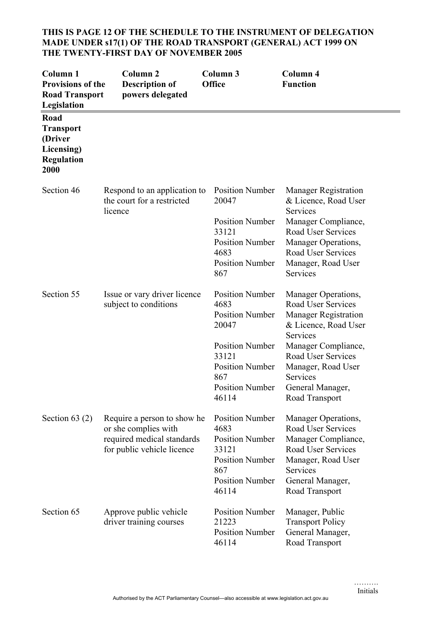# **THIS IS PAGE 12 OF THE SCHEDULE TO THE INSTRUMENT OF DELEGATION MADE UNDER s17(1) OF THE ROAD TRANSPORT (GENERAL) ACT 1999 ON THE TWENTY-FIRST DAY OF NOVEMBER 2005**

| Column <sub>1</sub><br><b>Provisions of the</b><br><b>Road Transport</b><br>Legislation | Column <sub>2</sub><br><b>Description of</b><br>powers delegated                                                | Column 3<br><b>Office</b>                                                                                                                                                | Column 4<br><b>Function</b>                                                                                                                                                                                                              |
|-----------------------------------------------------------------------------------------|-----------------------------------------------------------------------------------------------------------------|--------------------------------------------------------------------------------------------------------------------------------------------------------------------------|------------------------------------------------------------------------------------------------------------------------------------------------------------------------------------------------------------------------------------------|
| Road<br><b>Transport</b><br>(Driver<br>Licensing)<br><b>Regulation</b><br>2000          |                                                                                                                 |                                                                                                                                                                          |                                                                                                                                                                                                                                          |
| Section 46                                                                              | Respond to an application to<br>the court for a restricted<br>licence                                           | <b>Position Number</b><br>20047<br><b>Position Number</b><br>33121<br><b>Position Number</b><br>4683<br><b>Position Number</b><br>867                                    | <b>Manager Registration</b><br>& Licence, Road User<br>Services<br>Manager Compliance,<br>Road User Services<br>Manager Operations,<br>Road User Services<br>Manager, Road User<br>Services                                              |
| Section 55                                                                              | Issue or vary driver licence<br>subject to conditions                                                           | <b>Position Number</b><br>4683<br><b>Position Number</b><br>20047<br><b>Position Number</b><br>33121<br><b>Position Number</b><br>867<br><b>Position Number</b><br>46114 | Manager Operations,<br>Road User Services<br><b>Manager Registration</b><br>& Licence, Road User<br>Services<br>Manager Compliance,<br><b>Road User Services</b><br>Manager, Road User<br>Services<br>General Manager,<br>Road Transport |
| Section $63(2)$                                                                         | Require a person to show he<br>or she complies with<br>required medical standards<br>for public vehicle licence | <b>Position Number</b><br>4683<br><b>Position Number</b><br>33121<br><b>Position Number</b><br>867<br><b>Position Number</b><br>46114                                    | Manager Operations,<br>Road User Services<br>Manager Compliance,<br>Road User Services<br>Manager, Road User<br>Services<br>General Manager,<br>Road Transport                                                                           |
| Section 65                                                                              | Approve public vehicle<br>driver training courses                                                               | <b>Position Number</b><br>21223<br><b>Position Number</b><br>46114                                                                                                       | Manager, Public<br><b>Transport Policy</b><br>General Manager,<br>Road Transport                                                                                                                                                         |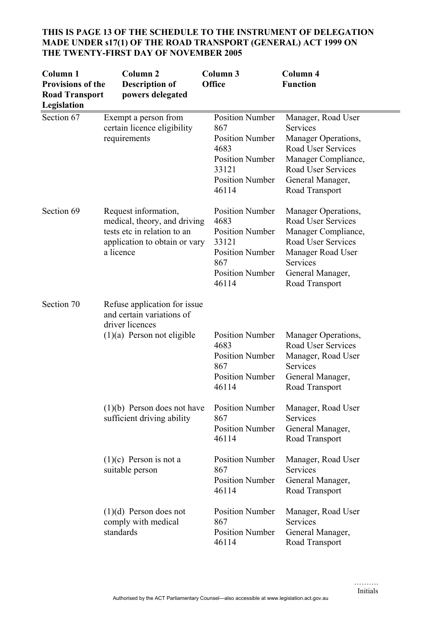| Column <sub>1</sub><br><b>Provisions of the</b><br><b>Road Transport</b><br>Legislation | Column <sub>2</sub><br><b>Description of</b><br>powers delegated                                                                  | Column 3<br>Office                                                                                                                    | <b>Column 4</b><br><b>Function</b>                                                                                                                                   |
|-----------------------------------------------------------------------------------------|-----------------------------------------------------------------------------------------------------------------------------------|---------------------------------------------------------------------------------------------------------------------------------------|----------------------------------------------------------------------------------------------------------------------------------------------------------------------|
| Section 67                                                                              | Exempt a person from<br>certain licence eligibility<br>requirements                                                               | <b>Position Number</b><br>867<br><b>Position Number</b><br>4683<br><b>Position Number</b><br>33121<br><b>Position Number</b><br>46114 | Manager, Road User<br>Services<br>Manager Operations,<br>Road User Services<br>Manager Compliance,<br>Road User Services<br>General Manager,<br>Road Transport       |
| Section 69                                                                              | Request information,<br>medical, theory, and driving<br>tests etc in relation to an<br>application to obtain or vary<br>a licence | <b>Position Number</b><br>4683<br><b>Position Number</b><br>33121<br><b>Position Number</b><br>867<br><b>Position Number</b><br>46114 | Manager Operations,<br>Road User Services<br>Manager Compliance,<br><b>Road User Services</b><br>Manager Road User<br>Services<br>General Manager,<br>Road Transport |
| Section 70                                                                              | Refuse application for issue<br>and certain variations of<br>driver licences<br>$(1)(a)$ Person not eligible                      | <b>Position Number</b><br>4683<br><b>Position Number</b><br>867<br><b>Position Number</b><br>46114                                    | Manager Operations,<br>Road User Services<br>Manager, Road User<br>Services<br>General Manager,<br>Road Transport                                                    |
|                                                                                         | $(1)(b)$ Person does not have<br>sufficient driving ability                                                                       | <b>Position Number</b><br>867<br><b>Position Number</b><br>46114                                                                      | Manager, Road User<br>Services<br>General Manager,<br>Road Transport                                                                                                 |
|                                                                                         | $(1)(c)$ Person is not a<br>suitable person                                                                                       | <b>Position Number</b><br>867<br><b>Position Number</b><br>46114                                                                      | Manager, Road User<br>Services<br>General Manager,<br>Road Transport                                                                                                 |
|                                                                                         | $(1)(d)$ Person does not<br>comply with medical<br>standards                                                                      | <b>Position Number</b><br>867<br><b>Position Number</b><br>46114                                                                      | Manager, Road User<br>Services<br>General Manager,<br>Road Transport                                                                                                 |

# **THIS IS PAGE 13 OF THE SCHEDULE TO THE INSTRUMENT OF DELEGATION MADE UNDER s17(1) OF THE ROAD TRANSPORT (GENERAL) ACT 1999 ON THE TWENTY-FIRST DAY OF NOVEMBER 2005**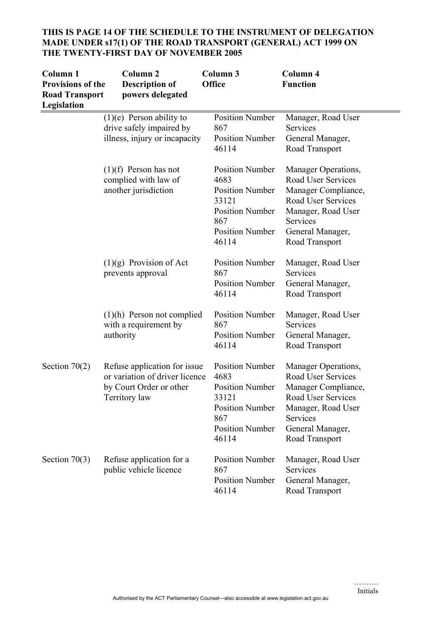| Column 1<br><b>Provisions of the</b><br><b>Road Transport</b><br>Legislation | Column <sub>2</sub><br><b>Description of</b><br>powers delegated                                           | Column 3<br><b>Office</b>                                                                                                             | Column 4<br><b>Function</b>                                                                                                                                    |
|------------------------------------------------------------------------------|------------------------------------------------------------------------------------------------------------|---------------------------------------------------------------------------------------------------------------------------------------|----------------------------------------------------------------------------------------------------------------------------------------------------------------|
|                                                                              | $(1)(e)$ Person ability to<br>drive safely impaired by<br>illness, injury or incapacity                    | <b>Position Number</b><br>867<br><b>Position Number</b><br>46114                                                                      | Manager, Road User<br>Services<br>General Manager,<br>Road Transport                                                                                           |
|                                                                              | $(1)(f)$ Person has not<br>complied with law of<br>another jurisdiction                                    | <b>Position Number</b><br>4683<br><b>Position Number</b><br>33121<br><b>Position Number</b><br>867<br><b>Position Number</b><br>46114 | Manager Operations,<br>Road User Services<br>Manager Compliance,<br>Road User Services<br>Manager, Road User<br>Services<br>General Manager,<br>Road Transport |
|                                                                              | $(1)(g)$ Provision of Act<br>prevents approval                                                             | <b>Position Number</b><br>867<br><b>Position Number</b><br>46114                                                                      | Manager, Road User<br>Services<br>General Manager,<br>Road Transport                                                                                           |
|                                                                              | $(1)(h)$ Person not complied<br>with a requirement by<br>authority                                         | <b>Position Number</b><br>867<br><b>Position Number</b><br>46114                                                                      | Manager, Road User<br>Services<br>General Manager,<br>Road Transport                                                                                           |
| Section $70(2)$                                                              | Refuse application for issue<br>or variation of driver licence<br>by Court Order or other<br>Territory law | <b>Position Number</b><br>4683<br><b>Position Number</b><br>33121<br><b>Position Number</b><br>867<br><b>Position Number</b><br>46114 | Manager Operations,<br>Road User Services<br>Manager Compliance,<br>Road User Services<br>Manager, Road User<br>Services<br>General Manager,<br>Road Transport |
| Section $70(3)$                                                              | Refuse application for a<br>public vehicle licence                                                         | <b>Position Number</b><br>867<br><b>Position Number</b><br>46114                                                                      | Manager, Road User<br>Services<br>General Manager,<br>Road Transport                                                                                           |

# **THIS IS PAGE 14 OF THE SCHEDULE TO THE INSTRUMENT OF DELEGATION MADE UNDER s17(1) OF THE ROAD TRANSPORT (GENERAL) ACT 1999 ON THE TWENTY-FIRST DAY OF NOVEMBER 2005**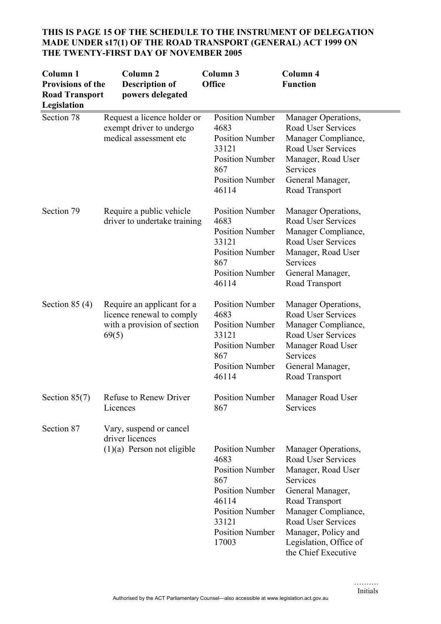| Column <sub>1</sub><br><b>Provisions of the</b><br><b>Road Transport</b><br>Legislation | Column <sub>2</sub><br><b>Description of</b><br>powers delegated                                | Column 3<br><b>Office</b>                                                                                                                                                | Column 4<br><b>Function</b>                                                                                                                                                                                                                   |
|-----------------------------------------------------------------------------------------|-------------------------------------------------------------------------------------------------|--------------------------------------------------------------------------------------------------------------------------------------------------------------------------|-----------------------------------------------------------------------------------------------------------------------------------------------------------------------------------------------------------------------------------------------|
| Section 78                                                                              | Request a licence holder or<br>exempt driver to undergo<br>medical assessment etc               | <b>Position Number</b><br>4683<br><b>Position Number</b><br>33121<br><b>Position Number</b><br>867<br><b>Position Number</b><br>46114                                    | Manager Operations,<br>Road User Services<br>Manager Compliance,<br><b>Road User Services</b><br>Manager, Road User<br>Services<br>General Manager,<br>Road Transport                                                                         |
| Section 79                                                                              | Require a public vehicle<br>driver to undertake training                                        | <b>Position Number</b><br>4683<br><b>Position Number</b><br>33121<br><b>Position Number</b><br>867<br><b>Position Number</b><br>46114                                    | Manager Operations,<br>Road User Services<br>Manager Compliance,<br>Road User Services<br>Manager, Road User<br>Services<br>General Manager,<br>Road Transport                                                                                |
| Section $85(4)$                                                                         | Require an applicant for a<br>licence renewal to comply<br>with a provision of section<br>69(5) | <b>Position Number</b><br>4683<br><b>Position Number</b><br>33121<br><b>Position Number</b><br>867<br><b>Position Number</b><br>46114                                    | Manager Operations,<br>Road User Services<br>Manager Compliance,<br>Road User Services<br>Manager Road User<br><b>Services</b><br>General Manager,<br>Road Transport                                                                          |
| Section $85(7)$                                                                         | Refuse to Renew Driver<br>Licences                                                              | Position Number<br>867                                                                                                                                                   | Manager Road User<br>Services                                                                                                                                                                                                                 |
| Section 87                                                                              | Vary, suspend or cancel<br>driver licences<br>$(1)(a)$ Person not eligible                      | <b>Position Number</b><br>4683<br><b>Position Number</b><br>867<br><b>Position Number</b><br>46114<br><b>Position Number</b><br>33121<br><b>Position Number</b><br>17003 | Manager Operations,<br>Road User Services<br>Manager, Road User<br><b>Services</b><br>General Manager,<br>Road Transport<br>Manager Compliance,<br>Road User Services<br>Manager, Policy and<br>Legislation, Office of<br>the Chief Executive |

# **THIS IS PAGE 15 OF THE SCHEDULE TO THE INSTRUMENT OF DELEGATION MADE UNDER s17(1) OF THE ROAD TRANSPORT (GENERAL) ACT 1999 ON THE TWENTY-FIRST DAY OF NOVEMBER 2005**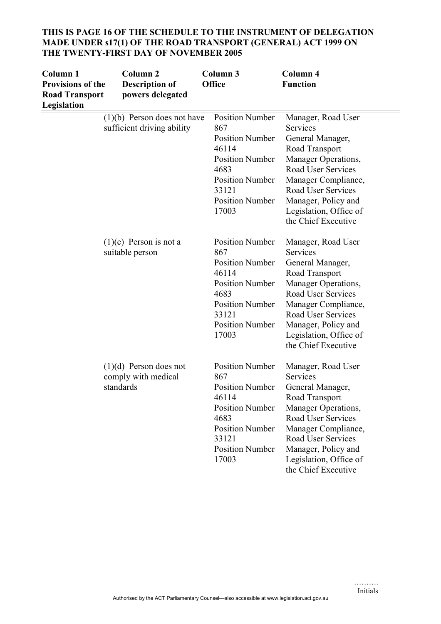| Column 1<br><b>Provisions of the</b><br><b>Road Transport</b><br>Legislation | Column <sub>2</sub><br><b>Description of</b><br>powers delegated | Column 3<br><b>Office</b>                                                                                                                                                | Column 4<br><b>Function</b>                                                                                                                                                                                                                   |
|------------------------------------------------------------------------------|------------------------------------------------------------------|--------------------------------------------------------------------------------------------------------------------------------------------------------------------------|-----------------------------------------------------------------------------------------------------------------------------------------------------------------------------------------------------------------------------------------------|
|                                                                              | $(1)(b)$ Person does not have<br>sufficient driving ability      | <b>Position Number</b><br>867<br><b>Position Number</b><br>46114<br><b>Position Number</b><br>4683<br><b>Position Number</b><br>33121<br><b>Position Number</b><br>17003 | Manager, Road User<br>Services<br>General Manager,<br>Road Transport<br>Manager Operations,<br>Road User Services<br>Manager Compliance,<br>Road User Services<br>Manager, Policy and<br>Legislation, Office of<br>the Chief Executive        |
|                                                                              | $(1)(c)$ Person is not a<br>suitable person                      | <b>Position Number</b><br>867<br><b>Position Number</b><br>46114<br><b>Position Number</b><br>4683<br><b>Position Number</b><br>33121<br><b>Position Number</b><br>17003 | Manager, Road User<br>Services<br>General Manager,<br>Road Transport<br>Manager Operations,<br>Road User Services<br>Manager Compliance,<br>Road User Services<br>Manager, Policy and<br>Legislation, Office of<br>the Chief Executive        |
|                                                                              | $(1)(d)$ Person does not<br>comply with medical<br>standards     | <b>Position Number</b><br>867<br><b>Position Number</b><br>46114<br><b>Position Number</b><br>4683<br><b>Position Number</b><br>33121<br><b>Position Number</b><br>17003 | Manager, Road User<br>Services<br>General Manager,<br>Road Transport<br>Manager Operations,<br>Road User Services<br>Manager Compliance,<br><b>Road User Services</b><br>Manager, Policy and<br>Legislation, Office of<br>the Chief Executive |

#### **THIS IS PAGE 16 OF THE SCHEDULE TO THE INSTRUMENT OF DELEGATION MADE UNDER s17(1) OF THE ROAD TRANSPORT (GENERAL) ACT 1999 ON THE TWENTY-FIRST DAY OF NOVEMBER 2005**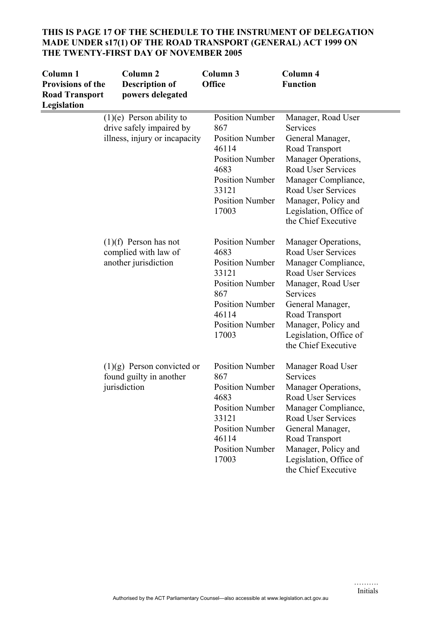# **THIS IS PAGE 17 OF THE SCHEDULE TO THE INSTRUMENT OF DELEGATION MADE UNDER s17(1) OF THE ROAD TRANSPORT (GENERAL) ACT 1999 ON THE TWENTY-FIRST DAY OF NOVEMBER 2005**

| Column 1<br><b>Provisions of the</b><br><b>Road Transport</b><br>Legislation | Column <sub>2</sub><br><b>Description of</b><br>powers delegated                        | Column 3<br><b>Office</b>                                                                                                                                                | Column 4<br><b>Function</b>                                                                                                                                                                                                                   |
|------------------------------------------------------------------------------|-----------------------------------------------------------------------------------------|--------------------------------------------------------------------------------------------------------------------------------------------------------------------------|-----------------------------------------------------------------------------------------------------------------------------------------------------------------------------------------------------------------------------------------------|
|                                                                              | $(1)(e)$ Person ability to<br>drive safely impaired by<br>illness, injury or incapacity | <b>Position Number</b><br>867<br><b>Position Number</b><br>46114<br><b>Position Number</b><br>4683<br><b>Position Number</b><br>33121<br><b>Position Number</b><br>17003 | Manager, Road User<br>Services<br>General Manager,<br>Road Transport<br>Manager Operations,<br><b>Road User Services</b><br>Manager Compliance,<br>Road User Services<br>Manager, Policy and<br>Legislation, Office of<br>the Chief Executive |
|                                                                              | $(1)(f)$ Person has not<br>complied with law of<br>another jurisdiction                 | <b>Position Number</b><br>4683<br><b>Position Number</b><br>33121<br><b>Position Number</b><br>867<br><b>Position Number</b><br>46114<br><b>Position Number</b><br>17003 | Manager Operations,<br>Road User Services<br>Manager Compliance,<br>Road User Services<br>Manager, Road User<br>Services<br>General Manager,<br>Road Transport<br>Manager, Policy and<br>Legislation, Office of<br>the Chief Executive        |
|                                                                              | $(1)(g)$ Person convicted or<br>found guilty in another<br>jurisdiction                 | <b>Position Number</b><br>867<br><b>Position Number</b><br>4683<br><b>Position Number</b><br>33121<br><b>Position Number</b><br>46114<br><b>Position Number</b><br>17003 | Manager Road User<br>Services<br>Manager Operations,<br>Road User Services<br>Manager Compliance,<br>Road User Services<br>General Manager,<br>Road Transport<br>Manager, Policy and<br>Legislation, Office of<br>the Chief Executive         |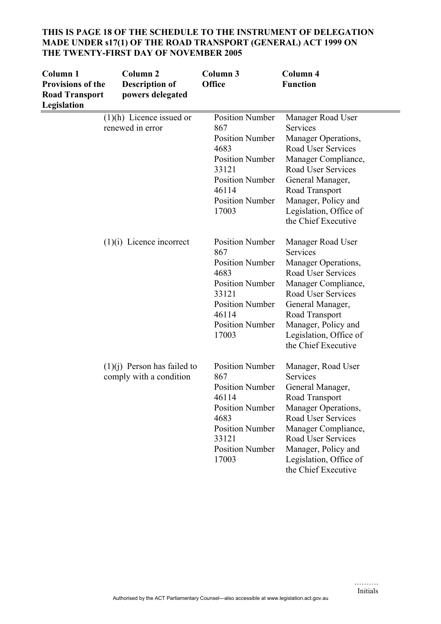| Column 1<br><b>Provisions of the</b><br><b>Road Transport</b><br>Legislation | Column <sub>2</sub><br><b>Description of</b><br>powers delegated | Column 3<br>Office                                                                                                                                                       | Column 4<br><b>Function</b>                                                                                                                                                                                                            |
|------------------------------------------------------------------------------|------------------------------------------------------------------|--------------------------------------------------------------------------------------------------------------------------------------------------------------------------|----------------------------------------------------------------------------------------------------------------------------------------------------------------------------------------------------------------------------------------|
|                                                                              | $(1)(h)$ Licence issued or<br>renewed in error                   | <b>Position Number</b><br>867<br><b>Position Number</b><br>4683<br><b>Position Number</b><br>33121<br><b>Position Number</b><br>46114<br><b>Position Number</b><br>17003 | Manager Road User<br>Services<br>Manager Operations,<br>Road User Services<br>Manager Compliance,<br>Road User Services<br>General Manager,<br>Road Transport<br>Manager, Policy and<br>Legislation, Office of<br>the Chief Executive  |
|                                                                              | $(1)(i)$ Licence incorrect                                       | <b>Position Number</b><br>867<br><b>Position Number</b><br>4683<br><b>Position Number</b><br>33121<br><b>Position Number</b><br>46114<br><b>Position Number</b><br>17003 | Manager Road User<br>Services<br>Manager Operations,<br>Road User Services<br>Manager Compliance,<br>Road User Services<br>General Manager,<br>Road Transport<br>Manager, Policy and<br>Legislation, Office of<br>the Chief Executive  |
|                                                                              | $(1)(i)$ Person has failed to<br>comply with a condition         | <b>Position Number</b><br>867<br><b>Position Number</b><br>46114<br><b>Position Number</b><br>4683<br><b>Position Number</b><br>33121<br><b>Position Number</b><br>17003 | Manager, Road User<br>Services<br>General Manager,<br>Road Transport<br>Manager Operations,<br>Road User Services<br>Manager Compliance,<br>Road User Services<br>Manager, Policy and<br>Legislation, Office of<br>the Chief Executive |

#### **THIS IS PAGE 18 OF THE SCHEDULE TO THE INSTRUMENT OF DELEGATION MADE UNDER s17(1) OF THE ROAD TRANSPORT (GENERAL) ACT 1999 ON THE TWENTY-FIRST DAY OF NOVEMBER 2005**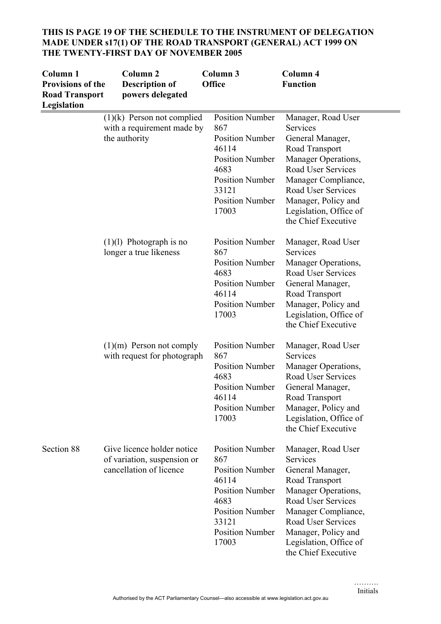| Column <sub>1</sub><br><b>Provisions of the</b><br><b>Road Transport</b><br>Legislation | Column <sub>2</sub><br><b>Description of</b><br>powers delegated                     | Column 3<br><b>Office</b>                                                                                                                                                | Column 4<br><b>Function</b>                                                                                                                                                                                                            |
|-----------------------------------------------------------------------------------------|--------------------------------------------------------------------------------------|--------------------------------------------------------------------------------------------------------------------------------------------------------------------------|----------------------------------------------------------------------------------------------------------------------------------------------------------------------------------------------------------------------------------------|
|                                                                                         | $(1)(k)$ Person not complied<br>with a requirement made by<br>the authority          | <b>Position Number</b><br>867<br><b>Position Number</b><br>46114<br><b>Position Number</b><br>4683<br><b>Position Number</b><br>33121<br><b>Position Number</b><br>17003 | Manager, Road User<br>Services<br>General Manager,<br>Road Transport<br>Manager Operations,<br>Road User Services<br>Manager Compliance,<br>Road User Services<br>Manager, Policy and<br>Legislation, Office of<br>the Chief Executive |
|                                                                                         | $(1)(1)$ Photograph is no<br>longer a true likeness                                  | <b>Position Number</b><br>867<br><b>Position Number</b><br>4683<br><b>Position Number</b><br>46114<br><b>Position Number</b><br>17003                                    | Manager, Road User<br>Services<br>Manager Operations,<br>Road User Services<br>General Manager,<br>Road Transport<br>Manager, Policy and<br>Legislation, Office of<br>the Chief Executive                                              |
|                                                                                         | $(1)(m)$ Person not comply<br>with request for photograph                            | <b>Position Number</b><br>867<br><b>Position Number</b><br>4683<br><b>Position Number</b><br>46114<br><b>Position Number</b><br>17003                                    | Manager, Road User<br>Services<br>Manager Operations,<br>Road User Services<br>General Manager,<br>Road Transport<br>Manager, Policy and<br>Legislation, Office of<br>the Chief Executive                                              |
| Section 88                                                                              | Give licence holder notice<br>of variation, suspension or<br>cancellation of licence | <b>Position Number</b><br>867<br><b>Position Number</b><br>46114<br><b>Position Number</b><br>4683<br><b>Position Number</b><br>33121<br><b>Position Number</b><br>17003 | Manager, Road User<br>Services<br>General Manager,<br>Road Transport<br>Manager Operations,<br>Road User Services<br>Manager Compliance,<br>Road User Services<br>Manager, Policy and<br>Legislation, Office of<br>the Chief Executive |

#### **THIS IS PAGE 19 OF THE SCHEDULE TO THE INSTRUMENT OF DELEGATION MADE UNDER s17(1) OF THE ROAD TRANSPORT (GENERAL) ACT 1999 ON THE TWENTY-FIRST DAY OF NOVEMBER 2005**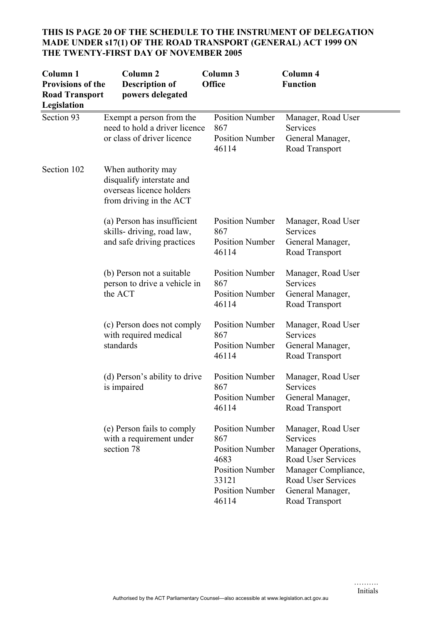| Column <sub>1</sub><br><b>Provisions of the</b><br><b>Road Transport</b><br>Legislation | Column <sub>2</sub><br><b>Description of</b><br>powers delegated                                       | Column 3<br>Office                                                                                                                    | Column 4<br><b>Function</b>                                                                                                                                    |
|-----------------------------------------------------------------------------------------|--------------------------------------------------------------------------------------------------------|---------------------------------------------------------------------------------------------------------------------------------------|----------------------------------------------------------------------------------------------------------------------------------------------------------------|
| Section 93                                                                              | Exempt a person from the<br>need to hold a driver licence<br>or class of driver licence                | <b>Position Number</b><br>867<br><b>Position Number</b><br>46114                                                                      | Manager, Road User<br>Services<br>General Manager,<br>Road Transport                                                                                           |
| Section 102                                                                             | When authority may<br>disqualify interstate and<br>overseas licence holders<br>from driving in the ACT |                                                                                                                                       |                                                                                                                                                                |
|                                                                                         | (a) Person has insufficient<br>skills-driving, road law,<br>and safe driving practices                 | <b>Position Number</b><br>867<br><b>Position Number</b><br>46114                                                                      | Manager, Road User<br>Services<br>General Manager,<br>Road Transport                                                                                           |
|                                                                                         | (b) Person not a suitable<br>person to drive a vehicle in<br>the ACT                                   | <b>Position Number</b><br>867<br><b>Position Number</b><br>46114                                                                      | Manager, Road User<br>Services<br>General Manager,<br>Road Transport                                                                                           |
|                                                                                         | (c) Person does not comply<br>with required medical<br>standards                                       | <b>Position Number</b><br>867<br><b>Position Number</b><br>46114                                                                      | Manager, Road User<br>Services<br>General Manager,<br>Road Transport                                                                                           |
|                                                                                         | (d) Person's ability to drive<br>is impaired                                                           | <b>Position Number</b><br>867<br><b>Position Number</b><br>46114                                                                      | Manager, Road User<br>Services<br>General Manager,<br>Road Transport                                                                                           |
|                                                                                         | (e) Person fails to comply<br>with a requirement under<br>section 78                                   | <b>Position Number</b><br>867<br><b>Position Number</b><br>4683<br><b>Position Number</b><br>33121<br><b>Position Number</b><br>46114 | Manager, Road User<br>Services<br>Manager Operations,<br>Road User Services<br>Manager Compliance,<br>Road User Services<br>General Manager,<br>Road Transport |

# **THIS IS PAGE 20 OF THE SCHEDULE TO THE INSTRUMENT OF DELEGATION MADE UNDER s17(1) OF THE ROAD TRANSPORT (GENERAL) ACT 1999 ON THE TWENTY-FIRST DAY OF NOVEMBER 2005**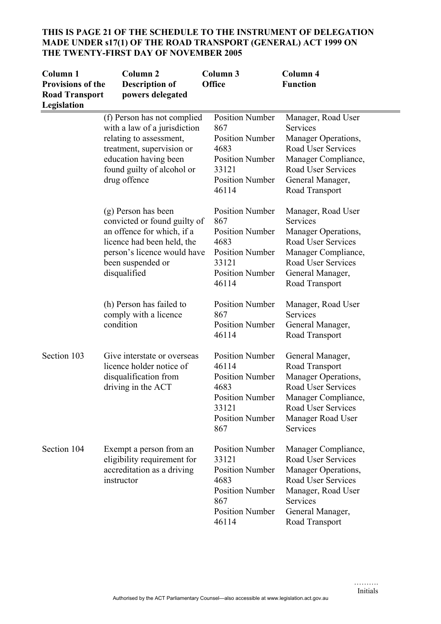# **THIS IS PAGE 21 OF THE SCHEDULE TO THE INSTRUMENT OF DELEGATION MADE UNDER s17(1) OF THE ROAD TRANSPORT (GENERAL) ACT 1999 ON THE TWENTY-FIRST DAY OF NOVEMBER 2005**

| Column <sub>1</sub><br><b>Provisions of the</b><br><b>Road Transport</b><br>Legislation | Column <sub>2</sub><br><b>Description of</b><br>powers delegated                                                                                                                           | Column 3<br><b>Office</b>                                                                                                             | Column 4<br><b>Function</b>                                                                                                                                           |
|-----------------------------------------------------------------------------------------|--------------------------------------------------------------------------------------------------------------------------------------------------------------------------------------------|---------------------------------------------------------------------------------------------------------------------------------------|-----------------------------------------------------------------------------------------------------------------------------------------------------------------------|
|                                                                                         | (f) Person has not complied<br>with a law of a jurisdiction<br>relating to assessment,<br>treatment, supervision or<br>education having been<br>found guilty of alcohol or<br>drug offence | <b>Position Number</b><br>867<br><b>Position Number</b><br>4683<br><b>Position Number</b><br>33121<br><b>Position Number</b><br>46114 | Manager, Road User<br>Services<br>Manager Operations,<br><b>Road User Services</b><br>Manager Compliance,<br>Road User Services<br>General Manager,<br>Road Transport |
|                                                                                         | (g) Person has been<br>convicted or found guilty of<br>an offence for which, if a<br>licence had been held, the<br>person's licence would have<br>been suspended or<br>disqualified        | <b>Position Number</b><br>867<br><b>Position Number</b><br>4683<br><b>Position Number</b><br>33121<br><b>Position Number</b><br>46114 | Manager, Road User<br>Services<br>Manager Operations,<br>Road User Services<br>Manager Compliance,<br>Road User Services<br>General Manager,<br>Road Transport        |
|                                                                                         | (h) Person has failed to<br>comply with a licence<br>condition                                                                                                                             | <b>Position Number</b><br>867<br><b>Position Number</b><br>46114                                                                      | Manager, Road User<br>Services<br>General Manager,<br>Road Transport                                                                                                  |
| Section 103                                                                             | Give interstate or overseas<br>licence holder notice of<br>disqualification from<br>driving in the ACT                                                                                     | <b>Position Number</b><br>46114<br><b>Position Number</b><br>4683<br><b>Position Number</b><br>33121<br><b>Position Number</b><br>867 | General Manager,<br>Road Transport<br>Manager Operations,<br>Road User Services<br><b>Manager Compliance</b><br>Road User Services<br>Manager Road User<br>Services   |
| Section 104                                                                             | Exempt a person from an<br>eligibility requirement for<br>accreditation as a driving<br>instructor                                                                                         | <b>Position Number</b><br>33121<br><b>Position Number</b><br>4683<br><b>Position Number</b><br>867<br><b>Position Number</b><br>46114 | Manager Compliance,<br>Road User Services<br>Manager Operations,<br>Road User Services<br>Manager, Road User<br>Services<br>General Manager,<br>Road Transport        |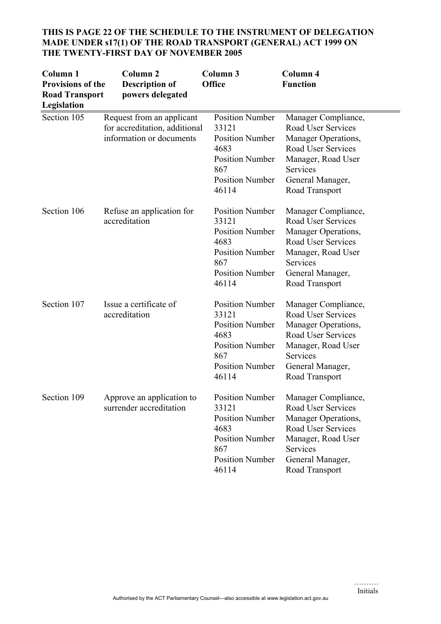| Column <sub>1</sub><br><b>Provisions of the</b><br><b>Road Transport</b><br>Legislation | Column <sub>2</sub><br><b>Description of</b><br>powers delegated                       | Column 3<br><b>Office</b>                                                                                                             | <b>Column 4</b><br><b>Function</b>                                                                                                                                           |
|-----------------------------------------------------------------------------------------|----------------------------------------------------------------------------------------|---------------------------------------------------------------------------------------------------------------------------------------|------------------------------------------------------------------------------------------------------------------------------------------------------------------------------|
| Section 105                                                                             | Request from an applicant<br>for accreditation, additional<br>information or documents | <b>Position Number</b><br>33121<br><b>Position Number</b><br>4683<br><b>Position Number</b><br>867<br><b>Position Number</b><br>46114 | Manager Compliance,<br>Road User Services<br>Manager Operations,<br>Road User Services<br>Manager, Road User<br>Services<br>General Manager,<br>Road Transport               |
| Section 106                                                                             | Refuse an application for<br>accreditation                                             | <b>Position Number</b><br>33121<br><b>Position Number</b><br>4683<br><b>Position Number</b><br>867<br><b>Position Number</b><br>46114 | Manager Compliance,<br><b>Road User Services</b><br>Manager Operations,<br><b>Road User Services</b><br>Manager, Road User<br>Services<br>General Manager,<br>Road Transport |
| Section 107                                                                             | Issue a certificate of<br>accreditation                                                | <b>Position Number</b><br>33121<br><b>Position Number</b><br>4683<br><b>Position Number</b><br>867<br><b>Position Number</b><br>46114 | Manager Compliance,<br>Road User Services<br>Manager Operations,<br>Road User Services<br>Manager, Road User<br>Services<br>General Manager,<br>Road Transport               |
| Section 109                                                                             | Approve an application to<br>surrender accreditation                                   | Position Number<br>33121<br><b>Position Number</b><br>4683<br><b>Position Number</b><br>867<br><b>Position Number</b><br>46114        | Manager Compliance,<br>Road User Services<br>Manager Operations,<br>Road User Services<br>Manager, Road User<br>Services<br>General Manager,<br>Road Transport               |

# **THIS IS PAGE 22 OF THE SCHEDULE TO THE INSTRUMENT OF DELEGATION MADE UNDER s17(1) OF THE ROAD TRANSPORT (GENERAL) ACT 1999 ON THE TWENTY-FIRST DAY OF NOVEMBER 2005**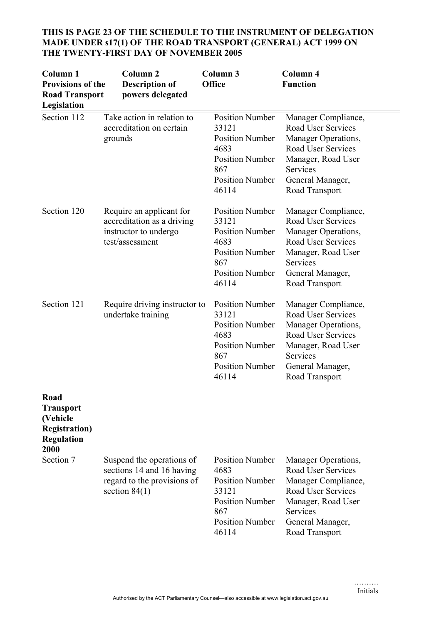| Column <sub>1</sub><br><b>Provisions of the</b><br><b>Road Transport</b><br>Legislation    | Column <sub>2</sub><br><b>Description of</b><br>powers delegated                                         | Column 3<br>Office                                                                                                                    | Column 4<br><b>Function</b>                                                                                                                                           |
|--------------------------------------------------------------------------------------------|----------------------------------------------------------------------------------------------------------|---------------------------------------------------------------------------------------------------------------------------------------|-----------------------------------------------------------------------------------------------------------------------------------------------------------------------|
| Section 112                                                                                | Take action in relation to<br>accreditation on certain<br>grounds                                        | <b>Position Number</b><br>33121<br><b>Position Number</b><br>4683<br><b>Position Number</b><br>867<br><b>Position Number</b><br>46114 | Manager Compliance,<br>Road User Services<br>Manager Operations,<br><b>Road User Services</b><br>Manager, Road User<br>Services<br>General Manager,<br>Road Transport |
| Section 120                                                                                | Require an applicant for<br>accreditation as a driving<br>instructor to undergo<br>test/assessment       | <b>Position Number</b><br>33121<br><b>Position Number</b><br>4683<br><b>Position Number</b><br>867<br><b>Position Number</b><br>46114 | Manager Compliance,<br><b>Road User Services</b><br>Manager Operations,<br>Road User Services<br>Manager, Road User<br>Services<br>General Manager,<br>Road Transport |
| Section 121                                                                                | Require driving instructor to<br>undertake training                                                      | <b>Position Number</b><br>33121<br><b>Position Number</b><br>4683<br><b>Position Number</b><br>867<br><b>Position Number</b><br>46114 | Manager Compliance,<br>Road User Services<br>Manager Operations,<br>Road User Services<br>Manager, Road User<br>Services<br>General Manager,<br>Road Transport        |
| Road<br><b>Transport</b><br>(Vehicle<br><b>Registration</b> )<br><b>Regulation</b><br>2000 |                                                                                                          |                                                                                                                                       |                                                                                                                                                                       |
| Section 7                                                                                  | Suspend the operations of<br>sections 14 and 16 having<br>regard to the provisions of<br>section $84(1)$ | <b>Position Number</b><br>4683<br><b>Position Number</b><br>33121<br><b>Position Number</b><br>867<br><b>Position Number</b><br>46114 | Manager Operations,<br>Road User Services<br>Manager Compliance,<br><b>Road User Services</b><br>Manager, Road User<br>Services<br>General Manager,<br>Road Transport |

# **THIS IS PAGE 23 OF THE SCHEDULE TO THE INSTRUMENT OF DELEGATION MADE UNDER s17(1) OF THE ROAD TRANSPORT (GENERAL) ACT 1999 ON THE TWENTY-FIRST DAY OF NOVEMBER 2005**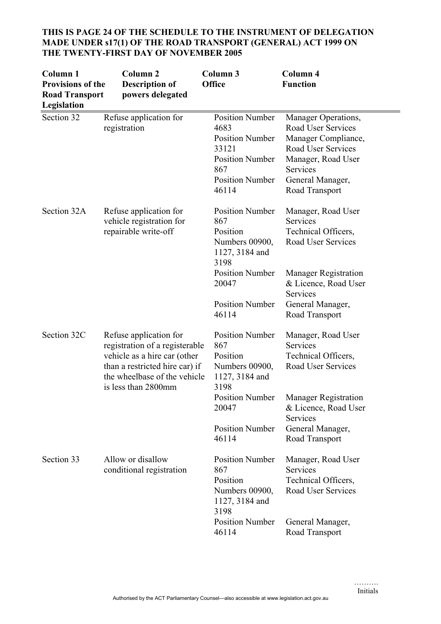| Column <sub>1</sub><br><b>Provisions of the</b><br><b>Road Transport</b><br>Legislation | Column <sub>2</sub><br><b>Description of</b><br>powers delegated                                                                                                                  | Column <sub>3</sub><br><b>Office</b>                                                                                                  | Column 4<br><b>Function</b>                                                                                                                                    |
|-----------------------------------------------------------------------------------------|-----------------------------------------------------------------------------------------------------------------------------------------------------------------------------------|---------------------------------------------------------------------------------------------------------------------------------------|----------------------------------------------------------------------------------------------------------------------------------------------------------------|
| Section 32                                                                              | Refuse application for<br>registration                                                                                                                                            | <b>Position Number</b><br>4683<br><b>Position Number</b><br>33121<br><b>Position Number</b><br>867<br><b>Position Number</b><br>46114 | Manager Operations,<br>Road User Services<br>Manager Compliance,<br>Road User Services<br>Manager, Road User<br>Services<br>General Manager,<br>Road Transport |
| Section 32A                                                                             | Refuse application for<br>vehicle registration for<br>repairable write-off                                                                                                        | <b>Position Number</b><br>867<br>Position<br>Numbers 00900,<br>1127, 3184 and<br>3198                                                 | Manager, Road User<br>Services<br>Technical Officers,<br>Road User Services                                                                                    |
|                                                                                         |                                                                                                                                                                                   | <b>Position Number</b><br>20047<br><b>Position Number</b><br>46114                                                                    | <b>Manager Registration</b><br>& Licence, Road User<br>Services<br>General Manager,<br>Road Transport                                                          |
| Section 32C                                                                             | Refuse application for<br>registration of a registerable<br>vehicle as a hire car (other<br>than a restricted hire car) if<br>the wheelbase of the vehicle<br>is less than 2800mm | <b>Position Number</b><br>867<br>Position<br>Numbers 00900,<br>1127, 3184 and<br>3198                                                 | Manager, Road User<br>Services<br>Technical Officers,<br>Road User Services                                                                                    |
|                                                                                         |                                                                                                                                                                                   | <b>Position Number</b><br>20047<br><b>Position Number</b><br>46114                                                                    | <b>Manager Registration</b><br>& Licence, Road User<br>Services<br>General Manager,<br>Road Transport                                                          |
| Section 33                                                                              | Allow or disallow<br>conditional registration                                                                                                                                     | <b>Position Number</b><br>867<br>Position<br>Numbers 00900,<br>1127, 3184 and<br>3198                                                 | Manager, Road User<br>Services<br>Technical Officers,<br>Road User Services                                                                                    |
|                                                                                         |                                                                                                                                                                                   | <b>Position Number</b><br>46114                                                                                                       | General Manager,<br>Road Transport                                                                                                                             |

# **THIS IS PAGE 24 OF THE SCHEDULE TO THE INSTRUMENT OF DELEGATION MADE UNDER s17(1) OF THE ROAD TRANSPORT (GENERAL) ACT 1999 ON THE TWENTY-FIRST DAY OF NOVEMBER 2005**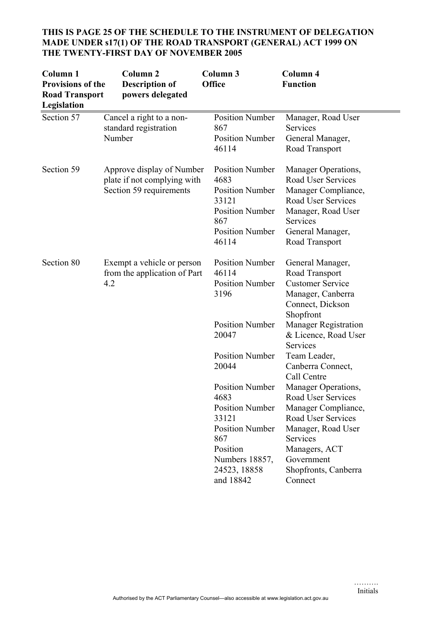# **THIS IS PAGE 25 OF THE SCHEDULE TO THE INSTRUMENT OF DELEGATION MADE UNDER s17(1) OF THE ROAD TRANSPORT (GENERAL) ACT 1999 ON THE TWENTY-FIRST DAY OF NOVEMBER 2005**

| Column <sub>1</sub><br><b>Provisions of the</b><br><b>Road Transport</b><br>Legislation | Column <sub>2</sub><br><b>Description of</b><br>powers delegated                    | Column 3<br>Office                                                                                                                                            | Column 4<br><b>Function</b>                                                                                                                                                                |
|-----------------------------------------------------------------------------------------|-------------------------------------------------------------------------------------|---------------------------------------------------------------------------------------------------------------------------------------------------------------|--------------------------------------------------------------------------------------------------------------------------------------------------------------------------------------------|
| Section 57                                                                              | Cancel a right to a non-<br>standard registration<br>Number                         | <b>Position Number</b><br>867<br><b>Position Number</b><br>46114                                                                                              | Manager, Road User<br>Services<br>General Manager,<br>Road Transport                                                                                                                       |
| Section 59                                                                              | Approve display of Number<br>plate if not complying with<br>Section 59 requirements | <b>Position Number</b><br>4683<br><b>Position Number</b><br>33121<br><b>Position Number</b><br>867<br><b>Position Number</b><br>46114                         | Manager Operations,<br>Road User Services<br>Manager Compliance,<br>Road User Services<br>Manager, Road User<br>Services<br>General Manager,<br>Road Transport                             |
| Section 80                                                                              | Exempt a vehicle or person<br>from the application of Part<br>4.2                   | <b>Position Number</b><br>46114<br><b>Position Number</b><br>3196                                                                                             | General Manager,<br>Road Transport<br><b>Customer Service</b><br>Manager, Canberra<br>Connect, Dickson<br>Shopfront                                                                        |
|                                                                                         |                                                                                     | <b>Position Number</b><br>20047                                                                                                                               | <b>Manager Registration</b><br>& Licence, Road User<br>Services                                                                                                                            |
|                                                                                         |                                                                                     | <b>Position Number</b><br>20044                                                                                                                               | Team Leader,<br>Canberra Connect,<br>Call Centre                                                                                                                                           |
|                                                                                         |                                                                                     | <b>Position Number</b><br>4683<br><b>Position Number</b><br>33121<br><b>Position Number</b><br>867<br>Position<br>Numbers 18857,<br>24523, 18858<br>and 18842 | Manager Operations,<br>Road User Services<br>Manager Compliance,<br>Road User Services<br>Manager, Road User<br>Services<br>Managers, ACT<br>Government<br>Shopfronts, Canberra<br>Connect |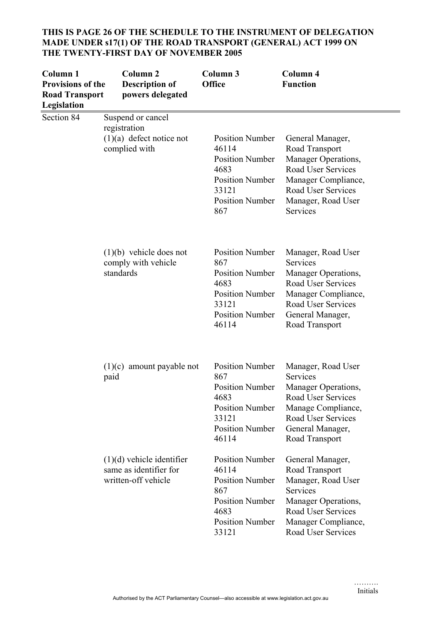| Column 1<br><b>Provisions of the</b><br><b>Road Transport</b><br>Legislation | <b>Column 2</b><br><b>Description of</b><br>powers delegated                     | Column 3<br><b>Office</b>                                                                                                             | Column 4<br><b>Function</b>                                                                                                                                           |
|------------------------------------------------------------------------------|----------------------------------------------------------------------------------|---------------------------------------------------------------------------------------------------------------------------------------|-----------------------------------------------------------------------------------------------------------------------------------------------------------------------|
| Section 84                                                                   | Suspend or cancel<br>registration<br>$(1)(a)$ defect notice not<br>complied with | <b>Position Number</b><br>46114<br><b>Position Number</b><br>4683<br><b>Position Number</b><br>33121<br><b>Position Number</b><br>867 | General Manager,<br>Road Transport<br>Manager Operations,<br><b>Road User Services</b><br>Manager Compliance,<br>Road User Services<br>Manager, Road User<br>Services |
|                                                                              | $(1)(b)$ vehicle does not<br>comply with vehicle<br>standards                    | <b>Position Number</b><br>867<br><b>Position Number</b><br>4683<br><b>Position Number</b><br>33121<br><b>Position Number</b><br>46114 | Manager, Road User<br>Services<br>Manager Operations,<br>Road User Services<br>Manager Compliance,<br>Road User Services<br>General Manager,<br>Road Transport        |
|                                                                              | $(1)(c)$ amount payable not<br>paid                                              | <b>Position Number</b><br>867<br><b>Position Number</b><br>4683<br><b>Position Number</b><br>33121<br><b>Position Number</b><br>46114 | Manager, Road User<br>Services<br>Manager Operations,<br>Road User Services<br>Manage Compliance,<br>Road User Services<br>General Manager,<br>Road Transport         |
|                                                                              | $(1)(d)$ vehicle identifier<br>same as identifier for<br>written-off vehicle     | <b>Position Number</b><br>46114<br><b>Position Number</b><br>867<br><b>Position Number</b><br>4683<br><b>Position Number</b><br>33121 | General Manager,<br>Road Transport<br>Manager, Road User<br>Services<br>Manager Operations,<br>Road User Services<br>Manager Compliance,<br>Road User Services        |

#### **THIS IS PAGE 26 OF THE SCHEDULE TO THE INSTRUMENT OF DELEGATION MADE UNDER s17(1) OF THE ROAD TRANSPORT (GENERAL) ACT 1999 ON THE TWENTY-FIRST DAY OF NOVEMBER 2005**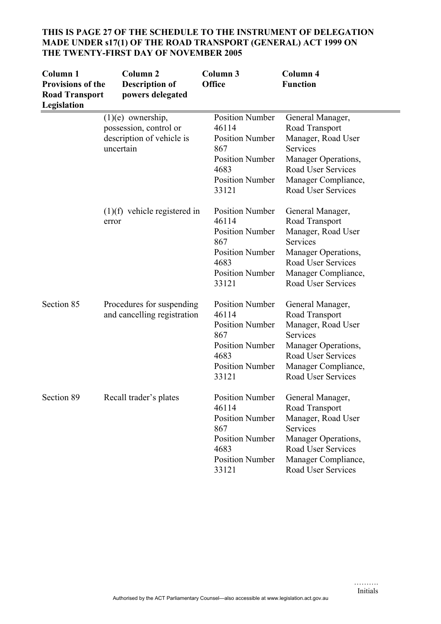| Column <sub>1</sub><br><b>Provisions of the</b><br><b>Road Transport</b><br>Legislation | Column <sub>2</sub><br><b>Description of</b><br>powers delegated                        | Column 3<br><b>Office</b>                                                                                                             | Column 4<br><b>Function</b>                                                                                                                                           |
|-----------------------------------------------------------------------------------------|-----------------------------------------------------------------------------------------|---------------------------------------------------------------------------------------------------------------------------------------|-----------------------------------------------------------------------------------------------------------------------------------------------------------------------|
|                                                                                         | $(1)(e)$ ownership,<br>possession, control or<br>description of vehicle is<br>uncertain | <b>Position Number</b><br>46114<br><b>Position Number</b><br>867<br><b>Position Number</b><br>4683<br><b>Position Number</b><br>33121 | General Manager,<br>Road Transport<br>Manager, Road User<br><b>Services</b><br>Manager Operations,<br>Road User Services<br>Manager Compliance,<br>Road User Services |
|                                                                                         | $(1)(f)$ vehicle registered in<br>error                                                 | <b>Position Number</b><br>46114<br><b>Position Number</b><br>867<br><b>Position Number</b><br>4683<br><b>Position Number</b><br>33121 | General Manager,<br>Road Transport<br>Manager, Road User<br>Services<br>Manager Operations,<br>Road User Services<br>Manager Compliance,<br><b>Road User Services</b> |
| Section 85                                                                              | Procedures for suspending<br>and cancelling registration                                | <b>Position Number</b><br>46114<br><b>Position Number</b><br>867<br><b>Position Number</b><br>4683<br><b>Position Number</b><br>33121 | General Manager,<br>Road Transport<br>Manager, Road User<br>Services<br>Manager Operations,<br>Road User Services<br>Manager Compliance,<br><b>Road User Services</b> |
| Section 89                                                                              | Recall trader's plates                                                                  | Position Number<br>46114<br><b>Position Number</b><br>867<br><b>Position Number</b><br>4683<br><b>Position Number</b><br>33121        | General Manager,<br>Road Transport<br>Manager, Road User<br>Services<br>Manager Operations,<br><b>Road User Services</b><br>Manager Compliance,<br>Road User Services |

# **THIS IS PAGE 27 OF THE SCHEDULE TO THE INSTRUMENT OF DELEGATION MADE UNDER s17(1) OF THE ROAD TRANSPORT (GENERAL) ACT 1999 ON THE TWENTY-FIRST DAY OF NOVEMBER 2005**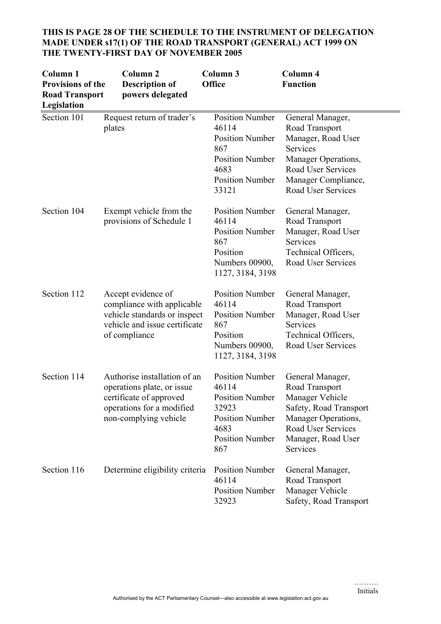| Column <sub>1</sub><br><b>Provisions of the</b><br><b>Road Transport</b><br>Legislation | Column <sub>2</sub><br><b>Description of</b><br>powers delegated                                                                            | Column 3<br><b>Office</b>                                                                                                             | Column 4<br><b>Function</b>                                                                                                                                    |
|-----------------------------------------------------------------------------------------|---------------------------------------------------------------------------------------------------------------------------------------------|---------------------------------------------------------------------------------------------------------------------------------------|----------------------------------------------------------------------------------------------------------------------------------------------------------------|
| Section 101                                                                             | Request return of trader's<br>plates                                                                                                        | <b>Position Number</b><br>46114<br><b>Position Number</b><br>867<br><b>Position Number</b><br>4683<br><b>Position Number</b><br>33121 | General Manager,<br>Road Transport<br>Manager, Road User<br>Services<br>Manager Operations,<br>Road User Services<br>Manager Compliance,<br>Road User Services |
| Section 104                                                                             | Exempt vehicle from the<br>provisions of Schedule 1                                                                                         | <b>Position Number</b><br>46114<br><b>Position Number</b><br>867<br>Position<br>Numbers 00900,<br>1127, 3184, 3198                    | General Manager,<br>Road Transport<br>Manager, Road User<br>Services<br>Technical Officers,<br>Road User Services                                              |
| Section 112                                                                             | Accept evidence of<br>compliance with applicable<br>vehicle standards or inspect<br>vehicle and issue certificate<br>of compliance          | <b>Position Number</b><br>46114<br><b>Position Number</b><br>867<br>Position<br>Numbers 00900,<br>1127, 3184, 3198                    | General Manager,<br>Road Transport<br>Manager, Road User<br>Services<br>Technical Officers,<br>Road User Services                                              |
| Section 114                                                                             | Authorise installation of an<br>operations plate, or issue<br>certificate of approved<br>operations for a modified<br>non-complying vehicle | <b>Position Number</b><br>46114<br><b>Position Number</b><br>32923<br><b>Position Number</b><br>4683<br><b>Position Number</b><br>867 | General Manager,<br>Road Transport<br>Manager Vehicle<br>Safety, Road Transport<br>Manager Operations,<br>Road User Services<br>Manager, Road User<br>Services |
| Section 116                                                                             | Determine eligibility criteria                                                                                                              | <b>Position Number</b><br>46114<br><b>Position Number</b><br>32923                                                                    | General Manager,<br>Road Transport<br>Manager Vehicle<br>Safety, Road Transport                                                                                |

# **THIS IS PAGE 28 OF THE SCHEDULE TO THE INSTRUMENT OF DELEGATION MADE UNDER s17(1) OF THE ROAD TRANSPORT (GENERAL) ACT 1999 ON THE TWENTY-FIRST DAY OF NOVEMBER 2005**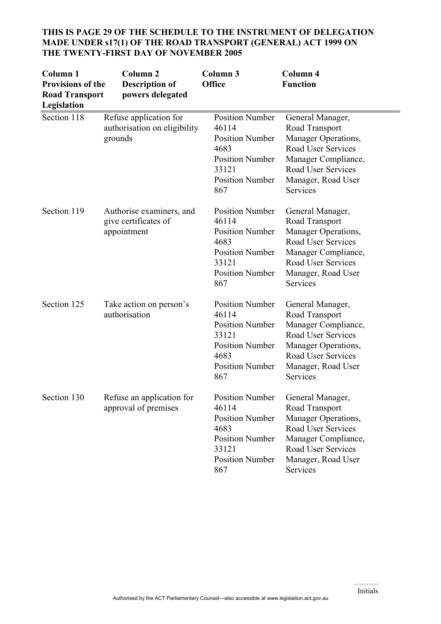| Column <sub>1</sub><br><b>Provisions of the</b><br><b>Road Transport</b><br>Legislation | Column <sub>2</sub><br><b>Description of</b><br>powers delegated  | Column 3<br>Office                                                                                                                    | Column 4<br><b>Function</b>                                                                                                                                           |
|-----------------------------------------------------------------------------------------|-------------------------------------------------------------------|---------------------------------------------------------------------------------------------------------------------------------------|-----------------------------------------------------------------------------------------------------------------------------------------------------------------------|
| Section 118                                                                             | Refuse application for<br>authorisation on eligibility<br>grounds | <b>Position Number</b><br>46114<br><b>Position Number</b><br>4683<br><b>Position Number</b><br>33121<br><b>Position Number</b><br>867 | General Manager,<br>Road Transport<br>Manager Operations,<br><b>Road User Services</b><br>Manager Compliance,<br>Road User Services<br>Manager, Road User<br>Services |
| Section 119                                                                             | Authorise examiners, and<br>give certificates of<br>appointment   | <b>Position Number</b><br>46114<br><b>Position Number</b><br>4683<br><b>Position Number</b><br>33121<br><b>Position Number</b><br>867 | General Manager,<br>Road Transport<br>Manager Operations,<br>Road User Services<br>Manager Compliance,<br><b>Road User Services</b><br>Manager, Road User<br>Services |
| Section 125                                                                             | Take action on person's<br>authorisation                          | <b>Position Number</b><br>46114<br><b>Position Number</b><br>33121<br><b>Position Number</b><br>4683<br><b>Position Number</b><br>867 | General Manager,<br>Road Transport<br>Manager Compliance,<br>Road User Services<br>Manager Operations,<br><b>Road User Services</b><br>Manager, Road User<br>Services |
| Section 130                                                                             | Refuse an application for<br>approval of premises                 | <b>Position Number</b><br>46114<br><b>Position Number</b><br>4683<br><b>Position Number</b><br>33121<br><b>Position Number</b><br>867 | General Manager.<br>Road Transport<br>Manager Operations,<br><b>Road User Services</b><br>Manager Compliance,<br>Road User Services<br>Manager, Road User<br>Services |

# **THIS IS PAGE 29 OF THE SCHEDULE TO THE INSTRUMENT OF DELEGATION MADE UNDER s17(1) OF THE ROAD TRANSPORT (GENERAL) ACT 1999 ON THE TWENTY-FIRST DAY OF NOVEMBER 2005**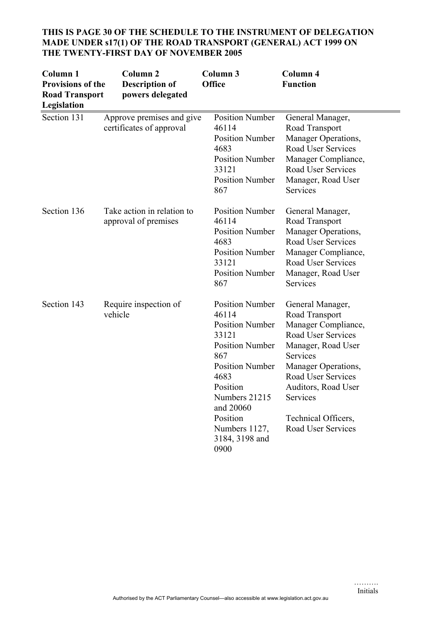| Column <sub>1</sub><br><b>Provisions of the</b><br><b>Road Transport</b><br>Legislation | <b>Column 2</b><br><b>Description of</b><br>powers delegated | Column <sub>3</sub><br><b>Office</b>                                                                                                                                                                                                   | Column 4<br><b>Function</b>                                                                                                                                                                                                                                  |
|-----------------------------------------------------------------------------------------|--------------------------------------------------------------|----------------------------------------------------------------------------------------------------------------------------------------------------------------------------------------------------------------------------------------|--------------------------------------------------------------------------------------------------------------------------------------------------------------------------------------------------------------------------------------------------------------|
| Section 131                                                                             | Approve premises and give<br>certificates of approval        | <b>Position Number</b><br>46114<br><b>Position Number</b><br>4683<br><b>Position Number</b><br>33121<br><b>Position Number</b><br>867                                                                                                  | General Manager,<br>Road Transport<br>Manager Operations,<br><b>Road User Services</b><br>Manager Compliance,<br>Road User Services<br>Manager, Road User<br>Services                                                                                        |
| Section 136                                                                             | Take action in relation to<br>approval of premises           | <b>Position Number</b><br>46114<br><b>Position Number</b><br>4683<br><b>Position Number</b><br>33121<br><b>Position Number</b><br>867                                                                                                  | General Manager,<br>Road Transport<br>Manager Operations,<br><b>Road User Services</b><br>Manager Compliance,<br>Road User Services<br>Manager, Road User<br>Services                                                                                        |
| Section 143                                                                             | Require inspection of<br>vehicle                             | <b>Position Number</b><br>46114<br><b>Position Number</b><br>33121<br><b>Position Number</b><br>867<br><b>Position Number</b><br>4683<br>Position<br>Numbers 21215<br>and 20060<br>Position<br>Numbers 1127,<br>3184, 3198 and<br>0900 | General Manager,<br>Road Transport<br>Manager Compliance,<br>Road User Services<br>Manager, Road User<br>Services<br>Manager Operations,<br><b>Road User Services</b><br>Auditors, Road User<br>Services<br>Technical Officers,<br><b>Road User Services</b> |

# **THIS IS PAGE 30 OF THE SCHEDULE TO THE INSTRUMENT OF DELEGATION MADE UNDER s17(1) OF THE ROAD TRANSPORT (GENERAL) ACT 1999 ON THE TWENTY-FIRST DAY OF NOVEMBER 2005**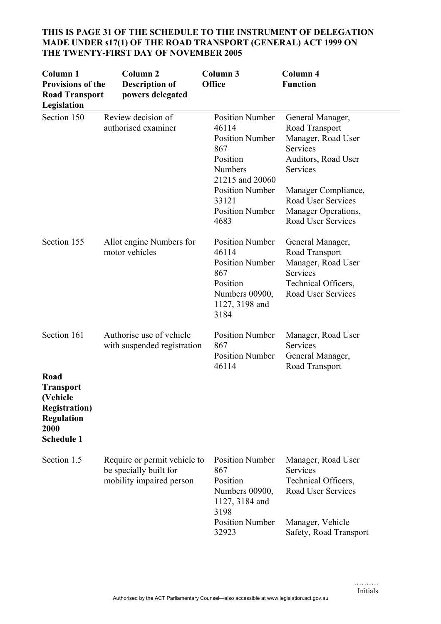| Column 1<br><b>Provisions of the</b><br><b>Road Transport</b><br>Legislation                                                   | Column <sub>2</sub><br><b>Description of</b><br>powers delegated                   | Column 3<br>Office                                                                                                                                                                     | Column 4<br><b>Function</b>                                                                                                                                                                       |
|--------------------------------------------------------------------------------------------------------------------------------|------------------------------------------------------------------------------------|----------------------------------------------------------------------------------------------------------------------------------------------------------------------------------------|---------------------------------------------------------------------------------------------------------------------------------------------------------------------------------------------------|
| Section 150                                                                                                                    | Review decision of<br>authorised examiner                                          | <b>Position Number</b><br>46114<br><b>Position Number</b><br>867<br>Position<br><b>Numbers</b><br>21215 and 20060<br><b>Position Number</b><br>33121<br><b>Position Number</b><br>4683 | General Manager,<br>Road Transport<br>Manager, Road User<br>Services<br>Auditors, Road User<br>Services<br>Manager Compliance,<br>Road User Services<br>Manager Operations,<br>Road User Services |
| Section 155                                                                                                                    | Allot engine Numbers for<br>motor vehicles                                         | <b>Position Number</b><br>46114<br><b>Position Number</b><br>867<br>Position<br>Numbers 00900,<br>1127, 3198 and<br>3184                                                               | General Manager,<br>Road Transport<br>Manager, Road User<br>Services<br>Technical Officers,<br>Road User Services                                                                                 |
| Section 161<br>Road<br><b>Transport</b><br>(Vehicle<br><b>Registration</b> )<br><b>Regulation</b><br>2000<br><b>Schedule 1</b> | Authorise use of vehicle<br>with suspended registration                            | <b>Position Number</b><br>867<br><b>Position Number</b><br>46114                                                                                                                       | Manager, Road User<br>Services<br>General Manager,<br>Road Transport                                                                                                                              |
| Section 1.5                                                                                                                    | Require or permit vehicle to<br>be specially built for<br>mobility impaired person | <b>Position Number</b><br>867<br>Position<br>Numbers 00900,<br>1127, 3184 and<br>3198<br><b>Position Number</b><br>32923                                                               | Manager, Road User<br>Services<br>Technical Officers,<br>Road User Services<br>Manager, Vehicle<br>Safety, Road Transport                                                                         |

# **THIS IS PAGE 31 OF THE SCHEDULE TO THE INSTRUMENT OF DELEGATION MADE UNDER s17(1) OF THE ROAD TRANSPORT (GENERAL) ACT 1999 ON THE TWENTY-FIRST DAY OF NOVEMBER 2005**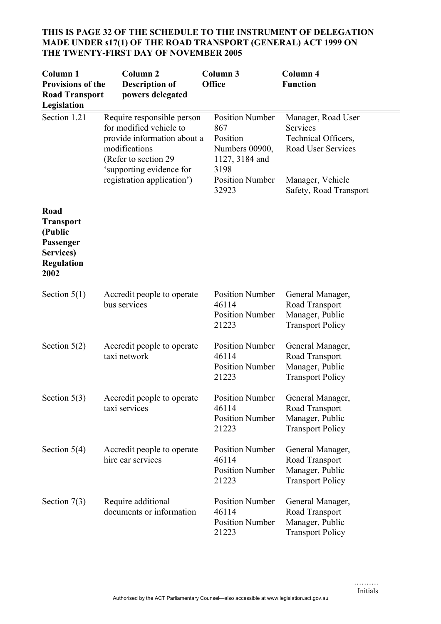# **THIS IS PAGE 32 OF THE SCHEDULE TO THE INSTRUMENT OF DELEGATION MADE UNDER s17(1) OF THE ROAD TRANSPORT (GENERAL) ACT 1999 ON THE TWENTY-FIRST DAY OF NOVEMBER 2005**

| Column <sub>1</sub><br><b>Provisions of the</b><br><b>Road Transport</b><br>Legislation    | Column <sub>2</sub><br><b>Description of</b><br>powers delegated                                                                                          | Column 3<br><b>Office</b>                                                             | Column 4<br><b>Function</b>                                                      |
|--------------------------------------------------------------------------------------------|-----------------------------------------------------------------------------------------------------------------------------------------------------------|---------------------------------------------------------------------------------------|----------------------------------------------------------------------------------|
| Section 1.21                                                                               | Require responsible person<br>for modified vehicle to<br>provide information about a<br>modifications<br>(Refer to section 29<br>'supporting evidence for | <b>Position Number</b><br>867<br>Position<br>Numbers 00900,<br>1127, 3184 and<br>3198 | Manager, Road User<br>Services<br>Technical Officers,<br>Road User Services      |
|                                                                                            | registration application')                                                                                                                                | <b>Position Number</b><br>32923                                                       | Manager, Vehicle<br>Safety, Road Transport                                       |
| Road<br><b>Transport</b><br>(Public<br>Passenger<br>Services)<br><b>Regulation</b><br>2002 |                                                                                                                                                           |                                                                                       |                                                                                  |
| Section $5(1)$                                                                             | Accredit people to operate<br>bus services                                                                                                                | <b>Position Number</b><br>46114<br><b>Position Number</b><br>21223                    | General Manager,<br>Road Transport<br>Manager, Public<br><b>Transport Policy</b> |
| Section $5(2)$                                                                             | Accredit people to operate<br>taxi network                                                                                                                | <b>Position Number</b><br>46114<br><b>Position Number</b><br>21223                    | General Manager,<br>Road Transport<br>Manager, Public<br><b>Transport Policy</b> |
| Section $5(3)$                                                                             | Accredit people to operate<br>taxi services                                                                                                               | Position Number<br>46114<br><b>Position Number</b><br>21223                           | General Manager,<br>Road Transport<br>Manager, Public<br><b>Transport Policy</b> |
| Section $5(4)$                                                                             | Accredit people to operate<br>hire car services                                                                                                           | <b>Position Number</b><br>46114<br><b>Position Number</b><br>21223                    | General Manager,<br>Road Transport<br>Manager, Public<br><b>Transport Policy</b> |
| Section $7(3)$                                                                             | Require additional<br>documents or information                                                                                                            | <b>Position Number</b><br>46114<br><b>Position Number</b><br>21223                    | General Manager,<br>Road Transport<br>Manager, Public<br><b>Transport Policy</b> |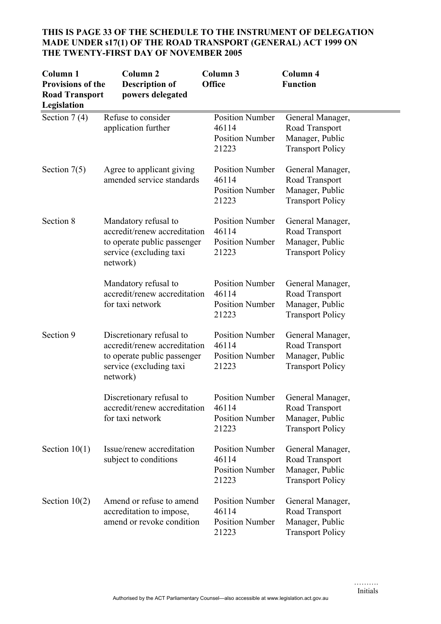| Column <sub>1</sub><br><b>Provisions of the</b><br><b>Road Transport</b><br>Legislation | Column <sub>2</sub><br><b>Description of</b><br>powers delegated                                                               | Column 3<br><b>Office</b>                                          | Column 4<br><b>Function</b>                                                                      |
|-----------------------------------------------------------------------------------------|--------------------------------------------------------------------------------------------------------------------------------|--------------------------------------------------------------------|--------------------------------------------------------------------------------------------------|
| Section $7(4)$                                                                          | Refuse to consider<br>application further                                                                                      | <b>Position Number</b><br>46114<br><b>Position Number</b><br>21223 | General Manager,<br>Road Transport<br>Manager, Public<br><b>Transport Policy</b>                 |
| Section $7(5)$                                                                          | Agree to applicant giving<br>amended service standards                                                                         | <b>Position Number</b><br>46114<br><b>Position Number</b><br>21223 | General Manager,<br>Road Transport<br>Manager, Public<br><b>Transport Policy</b>                 |
| Section 8                                                                               | Mandatory refusal to<br>accredit/renew accreditation<br>to operate public passenger<br>service (excluding taxi<br>network)     | <b>Position Number</b><br>46114<br><b>Position Number</b><br>21223 | General Manager,<br>Road Transport<br>Manager, Public<br><b>Transport Policy</b>                 |
|                                                                                         | Mandatory refusal to<br>accredit/renew accreditation<br>for taxi network                                                       | <b>Position Number</b><br>46114<br><b>Position Number</b><br>21223 | General Manager,<br>Road Transport<br>Manager, Public<br><b>Transport Policy</b>                 |
| Section 9                                                                               | Discretionary refusal to<br>accredit/renew accreditation<br>to operate public passenger<br>service (excluding taxi<br>network) | <b>Position Number</b><br>46114<br><b>Position Number</b><br>21223 | General Manager,<br>Road Transport<br>Manager, Public<br><b>Transport Policy</b>                 |
|                                                                                         | Discretionary refusal to<br>accredit/renew accreditation<br>for taxi network                                                   | 46114<br><b>Position Number</b><br>21223                           | Position Number General Manager,<br>Road Transport<br>Manager, Public<br><b>Transport Policy</b> |
| Section $10(1)$                                                                         | Issue/renew accreditation<br>subject to conditions                                                                             | <b>Position Number</b><br>46114<br><b>Position Number</b><br>21223 | General Manager,<br>Road Transport<br>Manager, Public<br><b>Transport Policy</b>                 |
| Section $10(2)$                                                                         | Amend or refuse to amend<br>accreditation to impose,<br>amend or revoke condition                                              | <b>Position Number</b><br>46114<br><b>Position Number</b><br>21223 | General Manager,<br>Road Transport<br>Manager, Public<br><b>Transport Policy</b>                 |

# **THIS IS PAGE 33 OF THE SCHEDULE TO THE INSTRUMENT OF DELEGATION MADE UNDER s17(1) OF THE ROAD TRANSPORT (GENERAL) ACT 1999 ON THE TWENTY-FIRST DAY OF NOVEMBER 2005**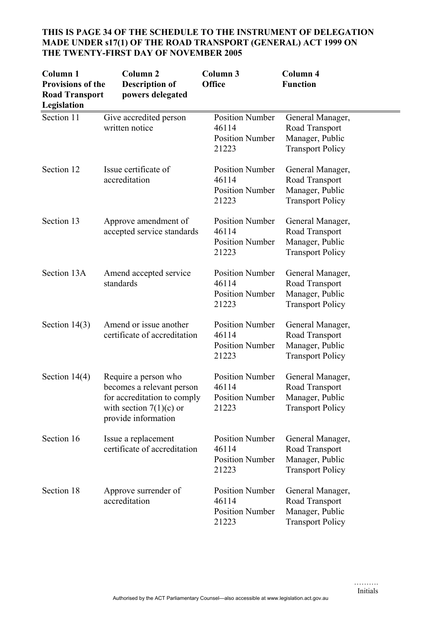| Column <sub>1</sub><br><b>Provisions of the</b><br><b>Road Transport</b><br>Legislation | Column <sub>2</sub><br><b>Description of</b><br>powers delegated                                                                     | Column 3<br>Office                                                 | Column 4<br><b>Function</b>                                                      |
|-----------------------------------------------------------------------------------------|--------------------------------------------------------------------------------------------------------------------------------------|--------------------------------------------------------------------|----------------------------------------------------------------------------------|
| Section 11                                                                              | Give accredited person<br>written notice                                                                                             | <b>Position Number</b><br>46114<br><b>Position Number</b><br>21223 | General Manager,<br>Road Transport<br>Manager, Public<br><b>Transport Policy</b> |
| Section 12                                                                              | Issue certificate of<br>accreditation                                                                                                | <b>Position Number</b><br>46114<br><b>Position Number</b><br>21223 | General Manager,<br>Road Transport<br>Manager, Public<br><b>Transport Policy</b> |
| Section 13                                                                              | Approve amendment of<br>accepted service standards                                                                                   | <b>Position Number</b><br>46114<br><b>Position Number</b><br>21223 | General Manager,<br>Road Transport<br>Manager, Public<br><b>Transport Policy</b> |
| Section 13A                                                                             | Amend accepted service<br>standards                                                                                                  | <b>Position Number</b><br>46114<br><b>Position Number</b><br>21223 | General Manager,<br>Road Transport<br>Manager, Public<br><b>Transport Policy</b> |
| Section $14(3)$                                                                         | Amend or issue another<br>certificate of accreditation                                                                               | <b>Position Number</b><br>46114<br><b>Position Number</b><br>21223 | General Manager,<br>Road Transport<br>Manager, Public<br><b>Transport Policy</b> |
| Section $14(4)$                                                                         | Require a person who<br>becomes a relevant person<br>for accreditation to comply<br>with section $7(1)(c)$ or<br>provide information | <b>Position Number</b><br>46114<br><b>Position Number</b><br>21223 | General Manager,<br>Road Transport<br>Manager, Public<br><b>Transport Policy</b> |
| Section 16                                                                              | Issue a replacement<br>certificate of accreditation                                                                                  | <b>Position Number</b><br>46114<br><b>Position Number</b><br>21223 | General Manager,<br>Road Transport<br>Manager, Public<br><b>Transport Policy</b> |
| Section 18                                                                              | Approve surrender of<br>accreditation                                                                                                | <b>Position Number</b><br>46114<br><b>Position Number</b><br>21223 | General Manager,<br>Road Transport<br>Manager, Public<br><b>Transport Policy</b> |

# **THIS IS PAGE 34 OF THE SCHEDULE TO THE INSTRUMENT OF DELEGATION MADE UNDER s17(1) OF THE ROAD TRANSPORT (GENERAL) ACT 1999 ON THE TWENTY-FIRST DAY OF NOVEMBER 2005**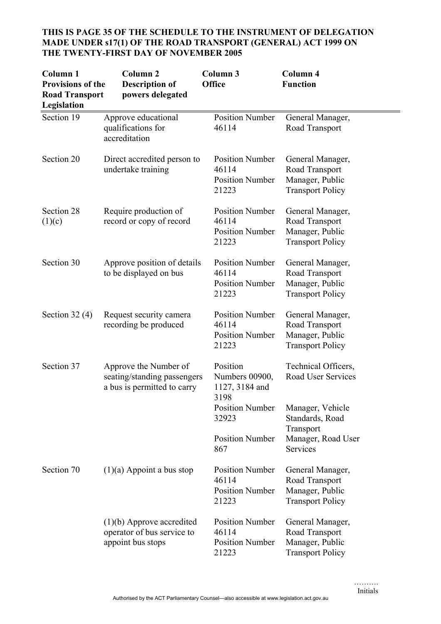# **THIS IS PAGE 35 OF THE SCHEDULE TO THE INSTRUMENT OF DELEGATION MADE UNDER s17(1) OF THE ROAD TRANSPORT (GENERAL) ACT 1999 ON THE TWENTY-FIRST DAY OF NOVEMBER 2005**

| Column <sub>1</sub><br><b>Provisions of the</b><br><b>Road Transport</b><br>Legislation | Column <sub>2</sub><br><b>Description of</b><br>powers delegated                    | Column 3<br><b>Office</b>                                          | Column 4<br><b>Function</b>                                                               |
|-----------------------------------------------------------------------------------------|-------------------------------------------------------------------------------------|--------------------------------------------------------------------|-------------------------------------------------------------------------------------------|
| Section 19                                                                              | Approve educational<br>qualifications for<br>accreditation                          | <b>Position Number</b><br>46114                                    | General Manager,<br>Road Transport                                                        |
| Section 20                                                                              | Direct accredited person to<br>undertake training                                   | <b>Position Number</b><br>46114<br><b>Position Number</b><br>21223 | General Manager,<br>Road Transport<br>Manager, Public<br><b>Transport Policy</b>          |
| Section 28<br>(1)(c)                                                                    | Require production of<br>record or copy of record                                   | <b>Position Number</b><br>46114<br><b>Position Number</b><br>21223 | General Manager,<br>Road Transport<br>Manager, Public<br><b>Transport Policy</b>          |
| Section 30                                                                              | Approve position of details<br>to be displayed on bus                               | <b>Position Number</b><br>46114<br><b>Position Number</b><br>21223 | General Manager,<br>Road Transport<br>Manager, Public<br><b>Transport Policy</b>          |
| Section $32(4)$                                                                         | Request security camera<br>recording be produced                                    | <b>Position Number</b><br>46114<br><b>Position Number</b><br>21223 | General Manager,<br>Road Transport<br>Manager, Public<br><b>Transport Policy</b>          |
| Section 37                                                                              | Approve the Number of<br>seating/standing passengers<br>a bus is permitted to carry | Position<br>Numbers 00900,<br>1127, 3184 and<br>3198               | Technical Officers,<br>Road User Services                                                 |
|                                                                                         |                                                                                     | <b>Position Number</b><br>32923<br><b>Position Number</b><br>867   | Manager, Vehicle<br>Standards, Road<br>Transport<br>Manager, Road User<br><b>Services</b> |
| Section 70                                                                              | $(1)(a)$ Appoint a bus stop                                                         | <b>Position Number</b><br>46114<br><b>Position Number</b><br>21223 | General Manager,<br>Road Transport<br>Manager, Public<br><b>Transport Policy</b>          |
|                                                                                         | $(1)(b)$ Approve accredited<br>operator of bus service to<br>appoint bus stops      | <b>Position Number</b><br>46114<br><b>Position Number</b><br>21223 | General Manager,<br>Road Transport<br>Manager, Public<br><b>Transport Policy</b>          |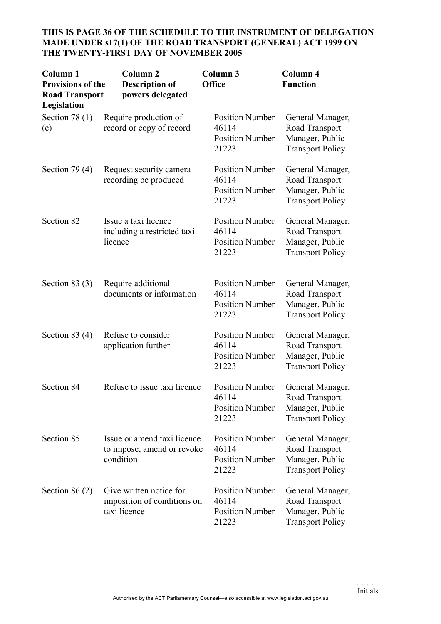| Column <sub>1</sub><br><b>Provisions of the</b><br><b>Road Transport</b><br>Legislation | Column <sub>2</sub><br><b>Description of</b><br>powers delegated       | Column 3<br><b>Office</b>                                          | Column 4<br><b>Function</b>                                                      |
|-----------------------------------------------------------------------------------------|------------------------------------------------------------------------|--------------------------------------------------------------------|----------------------------------------------------------------------------------|
| Section 78 $(1)$<br>(c)                                                                 | Require production of<br>record or copy of record                      | <b>Position Number</b><br>46114<br><b>Position Number</b><br>21223 | General Manager,<br>Road Transport<br>Manager, Public<br><b>Transport Policy</b> |
| Section 79 $(4)$                                                                        | Request security camera<br>recording be produced                       | <b>Position Number</b><br>46114<br><b>Position Number</b><br>21223 | General Manager,<br>Road Transport<br>Manager, Public<br><b>Transport Policy</b> |
| Section 82                                                                              | Issue a taxi licence<br>including a restricted taxi<br>licence         | <b>Position Number</b><br>46114<br><b>Position Number</b><br>21223 | General Manager,<br>Road Transport<br>Manager, Public<br><b>Transport Policy</b> |
| Section 83 $(3)$                                                                        | Require additional<br>documents or information                         | <b>Position Number</b><br>46114<br><b>Position Number</b><br>21223 | General Manager,<br>Road Transport<br>Manager, Public<br><b>Transport Policy</b> |
| Section 83 $(4)$                                                                        | Refuse to consider<br>application further                              | <b>Position Number</b><br>46114<br><b>Position Number</b><br>21223 | General Manager,<br>Road Transport<br>Manager, Public<br><b>Transport Policy</b> |
| Section 84                                                                              | Refuse to issue taxi licence                                           | <b>Position Number</b><br>46114<br><b>Position Number</b><br>21223 | General Manager,<br>Road Transport<br>Manager, Public<br><b>Transport Policy</b> |
| Section 85                                                                              | Issue or amend taxi licence<br>to impose, amend or revoke<br>condition | <b>Position Number</b><br>46114<br><b>Position Number</b><br>21223 | General Manager,<br>Road Transport<br>Manager, Public<br><b>Transport Policy</b> |
| Section $86(2)$                                                                         | Give written notice for<br>imposition of conditions on<br>taxi licence | <b>Position Number</b><br>46114<br><b>Position Number</b><br>21223 | General Manager,<br>Road Transport<br>Manager, Public<br><b>Transport Policy</b> |

# **THIS IS PAGE 36 OF THE SCHEDULE TO THE INSTRUMENT OF DELEGATION MADE UNDER s17(1) OF THE ROAD TRANSPORT (GENERAL) ACT 1999 ON THE TWENTY-FIRST DAY OF NOVEMBER 2005**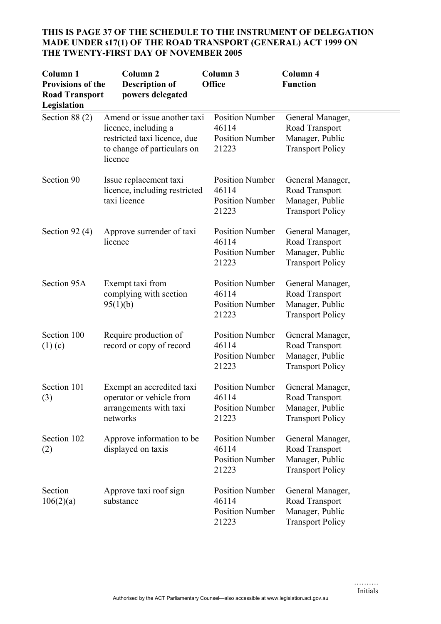| Column 1<br><b>Provisions of the</b><br><b>Road Transport</b><br>Legislation | Column <sub>2</sub><br><b>Description of</b><br>powers delegated                                                              | Column 3<br><b>Office</b>                                          | Column 4<br><b>Function</b>                                                      |
|------------------------------------------------------------------------------|-------------------------------------------------------------------------------------------------------------------------------|--------------------------------------------------------------------|----------------------------------------------------------------------------------|
| Section $88(2)$                                                              | Amend or issue another taxi<br>licence, including a<br>restricted taxi licence, due<br>to change of particulars on<br>licence | <b>Position Number</b><br>46114<br><b>Position Number</b><br>21223 | General Manager,<br>Road Transport<br>Manager, Public<br><b>Transport Policy</b> |
| Section 90                                                                   | Issue replacement taxi<br>licence, including restricted<br>taxi licence                                                       | <b>Position Number</b><br>46114<br><b>Position Number</b><br>21223 | General Manager,<br>Road Transport<br>Manager, Public<br><b>Transport Policy</b> |
| Section 92 $(4)$                                                             | Approve surrender of taxi<br>licence                                                                                          | <b>Position Number</b><br>46114<br><b>Position Number</b><br>21223 | General Manager,<br>Road Transport<br>Manager, Public<br><b>Transport Policy</b> |
| Section 95A                                                                  | Exempt taxi from<br>complying with section<br>95(1)(b)                                                                        | <b>Position Number</b><br>46114<br><b>Position Number</b><br>21223 | General Manager,<br>Road Transport<br>Manager, Public<br><b>Transport Policy</b> |
| Section 100<br>$(1)$ (c)                                                     | Require production of<br>record or copy of record                                                                             | <b>Position Number</b><br>46114<br><b>Position Number</b><br>21223 | General Manager,<br>Road Transport<br>Manager, Public<br><b>Transport Policy</b> |
| Section 101<br>(3)                                                           | Exempt an accredited taxi<br>operator or vehicle from<br>arrangements with taxi<br>networks                                   | <b>Position Number</b><br>46114<br><b>Position Number</b><br>21223 | General Manager,<br>Road Transport<br>Manager, Public<br><b>Transport Policy</b> |
| Section 102<br>(2)                                                           | Approve information to be<br>displayed on taxis                                                                               | <b>Position Number</b><br>46114<br><b>Position Number</b><br>21223 | General Manager,<br>Road Transport<br>Manager, Public<br><b>Transport Policy</b> |
| Section<br>106(2)(a)                                                         | Approve taxi roof sign<br>substance                                                                                           | <b>Position Number</b><br>46114<br><b>Position Number</b><br>21223 | General Manager,<br>Road Transport<br>Manager, Public<br><b>Transport Policy</b> |

# **THIS IS PAGE 37 OF THE SCHEDULE TO THE INSTRUMENT OF DELEGATION MADE UNDER s17(1) OF THE ROAD TRANSPORT (GENERAL) ACT 1999 ON THE TWENTY-FIRST DAY OF NOVEMBER 2005**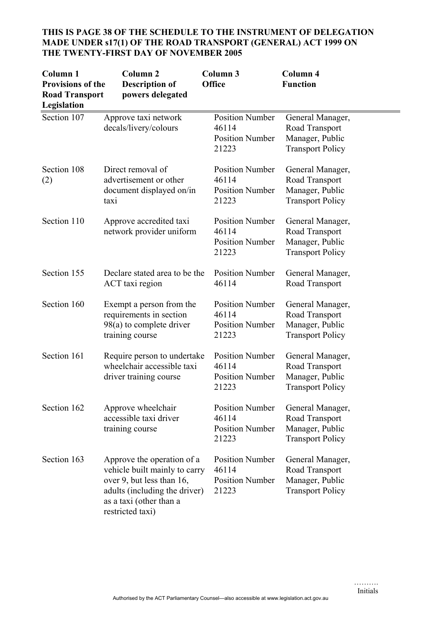# **THIS IS PAGE 38 OF THE SCHEDULE TO THE INSTRUMENT OF DELEGATION MADE UNDER s17(1) OF THE ROAD TRANSPORT (GENERAL) ACT 1999 ON THE TWENTY-FIRST DAY OF NOVEMBER 2005**

| Column <sub>1</sub><br><b>Provisions of the</b><br><b>Road Transport</b><br>Legislation | Column <sub>2</sub><br><b>Description of</b><br>powers delegated                                                                                                         | Column 3<br><b>Office</b>                                          | Column 4<br><b>Function</b>                                                      |
|-----------------------------------------------------------------------------------------|--------------------------------------------------------------------------------------------------------------------------------------------------------------------------|--------------------------------------------------------------------|----------------------------------------------------------------------------------|
| Section 107                                                                             | Approve taxi network<br>decals/livery/colours                                                                                                                            | <b>Position Number</b><br>46114<br><b>Position Number</b><br>21223 | General Manager,<br>Road Transport<br>Manager, Public<br><b>Transport Policy</b> |
| Section 108<br>(2)                                                                      | Direct removal of<br>advertisement or other<br>document displayed on/in<br>tax <sub>1</sub>                                                                              | <b>Position Number</b><br>46114<br><b>Position Number</b><br>21223 | General Manager,<br>Road Transport<br>Manager, Public<br><b>Transport Policy</b> |
| Section 110                                                                             | Approve accredited taxi<br>network provider uniform                                                                                                                      | <b>Position Number</b><br>46114<br><b>Position Number</b><br>21223 | General Manager,<br>Road Transport<br>Manager, Public<br><b>Transport Policy</b> |
| Section 155                                                                             | Declare stated area to be the<br>ACT taxi region                                                                                                                         | <b>Position Number</b><br>46114                                    | General Manager,<br>Road Transport                                               |
| Section 160                                                                             | Exempt a person from the<br>requirements in section<br>$98(a)$ to complete driver<br>training course                                                                     | <b>Position Number</b><br>46114<br><b>Position Number</b><br>21223 | General Manager,<br>Road Transport<br>Manager, Public<br><b>Transport Policy</b> |
| Section 161                                                                             | Require person to undertake<br>wheelchair accessible taxi<br>driver training course                                                                                      | <b>Position Number</b><br>46114<br><b>Position Number</b><br>21223 | General Manager,<br>Road Transport<br>Manager, Public<br><b>Transport Policy</b> |
| Section 162                                                                             | Approve wheelchair<br>accessible taxi driver<br>training course                                                                                                          | <b>Position Number</b><br>46114<br><b>Position Number</b><br>21223 | General Manager,<br>Road Transport<br>Manager, Public<br><b>Transport Policy</b> |
| Section 163                                                                             | Approve the operation of a<br>vehicle built mainly to carry<br>over 9, but less than 16,<br>adults (including the driver)<br>as a taxi (other than a<br>restricted taxi) | <b>Position Number</b><br>46114<br><b>Position Number</b><br>21223 | General Manager,<br>Road Transport<br>Manager, Public<br><b>Transport Policy</b> |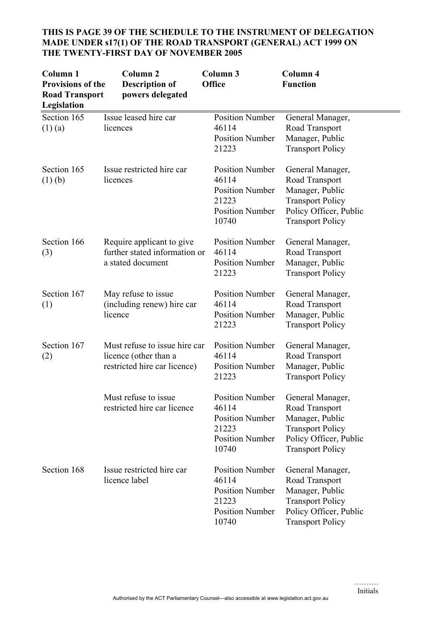| Column <sub>1</sub><br><b>Provisions of the</b><br><b>Road Transport</b><br>Legislation | Column <sub>2</sub><br><b>Description of</b><br>powers delegated                       | Column 3<br><b>Office</b>                                                                             | Column 4<br><b>Function</b>                                                                                                           |
|-----------------------------------------------------------------------------------------|----------------------------------------------------------------------------------------|-------------------------------------------------------------------------------------------------------|---------------------------------------------------------------------------------------------------------------------------------------|
| Section 165<br>$(1)$ (a)                                                                | Issue leased hire car<br>licences                                                      | <b>Position Number</b><br>46114<br><b>Position Number</b><br>21223                                    | General Manager,<br>Road Transport<br>Manager, Public<br><b>Transport Policy</b>                                                      |
| Section 165<br>$(1)$ (b)                                                                | Issue restricted hire car<br>licences                                                  | <b>Position Number</b><br>46114<br><b>Position Number</b><br>21223<br><b>Position Number</b><br>10740 | General Manager,<br>Road Transport<br>Manager, Public<br><b>Transport Policy</b><br>Policy Officer, Public<br><b>Transport Policy</b> |
| Section 166<br>(3)                                                                      | Require applicant to give<br>further stated information or<br>a stated document        | <b>Position Number</b><br>46114<br><b>Position Number</b><br>21223                                    | General Manager,<br>Road Transport<br>Manager, Public<br><b>Transport Policy</b>                                                      |
| Section 167<br>(1)                                                                      | May refuse to issue<br>(including renew) hire car<br>licence                           | <b>Position Number</b><br>46114<br><b>Position Number</b><br>21223                                    | General Manager,<br>Road Transport<br>Manager, Public<br><b>Transport Policy</b>                                                      |
| Section 167<br>(2)                                                                      | Must refuse to issue hire car<br>licence (other than a<br>restricted hire car licence) | <b>Position Number</b><br>46114<br><b>Position Number</b><br>21223                                    | General Manager,<br>Road Transport<br>Manager, Public<br><b>Transport Policy</b>                                                      |
|                                                                                         | Must refuse to issue<br>restricted hire car licence                                    | <b>Position Number</b><br>46114<br><b>Position Number</b><br>21223<br><b>Position Number</b><br>10740 | General Manager,<br>Road Transport<br>Manager, Public<br><b>Transport Policy</b><br>Policy Officer, Public<br><b>Transport Policy</b> |
| Section 168                                                                             | Issue restricted hire car<br>licence label                                             | <b>Position Number</b><br>46114<br><b>Position Number</b><br>21223<br><b>Position Number</b><br>10740 | General Manager,<br>Road Transport<br>Manager, Public<br><b>Transport Policy</b><br>Policy Officer, Public<br><b>Transport Policy</b> |

# **THIS IS PAGE 39 OF THE SCHEDULE TO THE INSTRUMENT OF DELEGATION MADE UNDER s17(1) OF THE ROAD TRANSPORT (GENERAL) ACT 1999 ON THE TWENTY-FIRST DAY OF NOVEMBER 2005**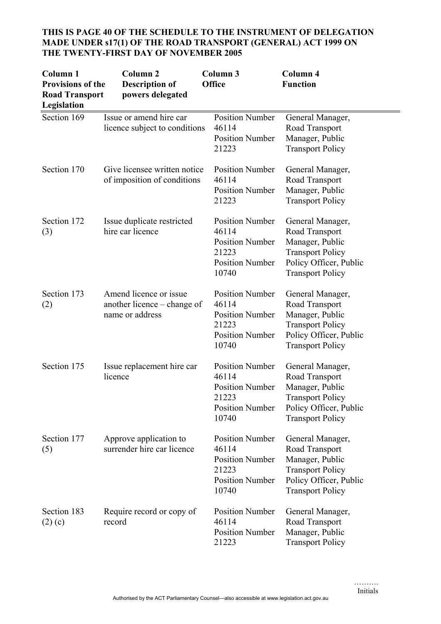# **THIS IS PAGE 40 OF THE SCHEDULE TO THE INSTRUMENT OF DELEGATION MADE UNDER s17(1) OF THE ROAD TRANSPORT (GENERAL) ACT 1999 ON THE TWENTY-FIRST DAY OF NOVEMBER 2005**

| Column <sub>1</sub><br><b>Provisions of the</b><br><b>Road Transport</b><br>Legislation | Column <sub>2</sub><br><b>Description of</b><br>powers delegated         | Column 3<br><b>Office</b>                                                                             | Column 4<br><b>Function</b>                                                                                                           |
|-----------------------------------------------------------------------------------------|--------------------------------------------------------------------------|-------------------------------------------------------------------------------------------------------|---------------------------------------------------------------------------------------------------------------------------------------|
| Section 169                                                                             | Issue or amend hire car<br>licence subject to conditions                 | <b>Position Number</b><br>46114<br><b>Position Number</b><br>21223                                    | General Manager,<br>Road Transport<br>Manager, Public<br><b>Transport Policy</b>                                                      |
| Section 170                                                                             | Give licensee written notice<br>of imposition of conditions              | <b>Position Number</b><br>46114<br><b>Position Number</b><br>21223                                    | General Manager,<br>Road Transport<br>Manager, Public<br><b>Transport Policy</b>                                                      |
| Section 172<br>(3)                                                                      | Issue duplicate restricted<br>hire car licence                           | <b>Position Number</b><br>46114<br><b>Position Number</b><br>21223<br><b>Position Number</b><br>10740 | General Manager,<br>Road Transport<br>Manager, Public<br><b>Transport Policy</b><br>Policy Officer, Public<br><b>Transport Policy</b> |
| Section 173<br>(2)                                                                      | Amend licence or issue<br>another licence – change of<br>name or address | <b>Position Number</b><br>46114<br><b>Position Number</b><br>21223<br><b>Position Number</b><br>10740 | General Manager,<br>Road Transport<br>Manager, Public<br><b>Transport Policy</b><br>Policy Officer, Public<br><b>Transport Policy</b> |
| Section 175                                                                             | Issue replacement hire car<br>licence                                    | <b>Position Number</b><br>46114<br><b>Position Number</b><br>21223<br><b>Position Number</b><br>10740 | General Manager,<br>Road Transport<br>Manager, Public<br><b>Transport Policy</b><br>Policy Officer, Public<br><b>Transport Policy</b> |
| Section 177<br>(5)                                                                      | Approve application to<br>surrender hire car licence                     | <b>Position Number</b><br>46114<br><b>Position Number</b><br>21223<br><b>Position Number</b><br>10740 | General Manager,<br>Road Transport<br>Manager, Public<br><b>Transport Policy</b><br>Policy Officer, Public<br><b>Transport Policy</b> |
| Section 183<br>$(2)$ (c)                                                                | Require record or copy of<br>record                                      | <b>Position Number</b><br>46114<br><b>Position Number</b><br>21223                                    | General Manager,<br>Road Transport<br>Manager, Public<br><b>Transport Policy</b>                                                      |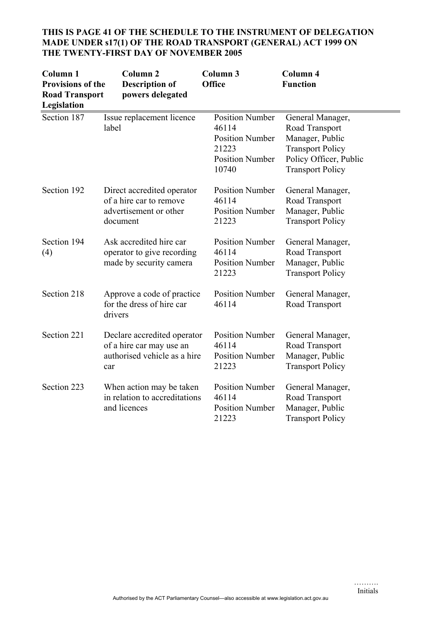| Column <sub>1</sub><br><b>Provisions of the</b><br><b>Road Transport</b><br>Legislation | Column <sub>2</sub><br><b>Description of</b><br>powers delegated                               | Column 3<br><b>Office</b>                                                                             | Column 4<br><b>Function</b>                                                                                                           |
|-----------------------------------------------------------------------------------------|------------------------------------------------------------------------------------------------|-------------------------------------------------------------------------------------------------------|---------------------------------------------------------------------------------------------------------------------------------------|
| Section 187                                                                             | Issue replacement licence<br>label                                                             | <b>Position Number</b><br>46114<br><b>Position Number</b><br>21223<br><b>Position Number</b><br>10740 | General Manager,<br>Road Transport<br>Manager, Public<br><b>Transport Policy</b><br>Policy Officer, Public<br><b>Transport Policy</b> |
| Section 192                                                                             | Direct accredited operator<br>of a hire car to remove<br>advertisement or other<br>document    | <b>Position Number</b><br>46114<br><b>Position Number</b><br>21223                                    | General Manager,<br>Road Transport<br>Manager, Public<br><b>Transport Policy</b>                                                      |
| Section 194<br>(4)                                                                      | Ask accredited hire car<br>operator to give recording<br>made by security camera               | <b>Position Number</b><br>46114<br><b>Position Number</b><br>21223                                    | General Manager,<br>Road Transport<br>Manager, Public<br><b>Transport Policy</b>                                                      |
| Section 218                                                                             | Approve a code of practice<br>for the dress of hire car<br>drivers                             | <b>Position Number</b><br>46114                                                                       | General Manager,<br>Road Transport                                                                                                    |
| Section 221                                                                             | Declare accredited operator<br>of a hire car may use an<br>authorised vehicle as a hire<br>car | <b>Position Number</b><br>46114<br><b>Position Number</b><br>21223                                    | General Manager,<br>Road Transport<br>Manager, Public<br><b>Transport Policy</b>                                                      |
| Section 223                                                                             | When action may be taken<br>in relation to accreditations<br>and licences                      | <b>Position Number</b><br>46114<br><b>Position Number</b><br>21223                                    | General Manager,<br>Road Transport<br>Manager, Public<br><b>Transport Policy</b>                                                      |

#### **THIS IS PAGE 41 OF THE SCHEDULE TO THE INSTRUMENT OF DELEGATION MADE UNDER s17(1) OF THE ROAD TRANSPORT (GENERAL) ACT 1999 ON THE TWENTY-FIRST DAY OF NOVEMBER 2005**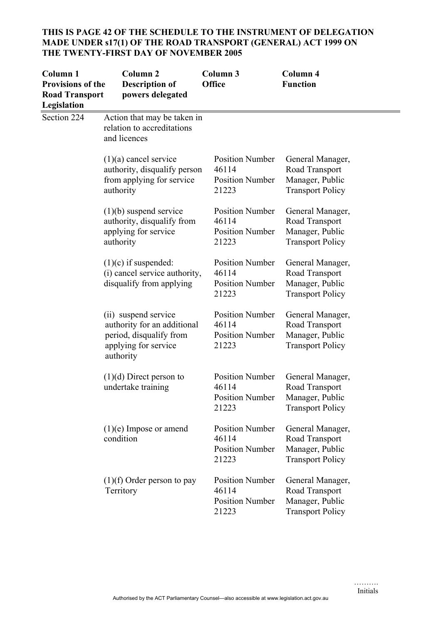# **THIS IS PAGE 42 OF THE SCHEDULE TO THE INSTRUMENT OF DELEGATION MADE UNDER s17(1) OF THE ROAD TRANSPORT (GENERAL) ACT 1999 ON THE TWENTY-FIRST DAY OF NOVEMBER 2005**

| <b>Column 1</b><br><b>Provisions of the</b><br><b>Road Transport</b><br>Legislation | Column <sub>2</sub><br><b>Description of</b><br>powers delegated                                                    | Column 3<br>Office                                                 | Column 4<br><b>Function</b>                                                      |
|-------------------------------------------------------------------------------------|---------------------------------------------------------------------------------------------------------------------|--------------------------------------------------------------------|----------------------------------------------------------------------------------|
| Section 224                                                                         | Action that may be taken in<br>relation to accreditations<br>and licences                                           |                                                                    |                                                                                  |
|                                                                                     | $(1)(a)$ cancel service<br>authority, disqualify person<br>from applying for service<br>authority                   | <b>Position Number</b><br>46114<br><b>Position Number</b><br>21223 | General Manager,<br>Road Transport<br>Manager, Public<br><b>Transport Policy</b> |
|                                                                                     | $(1)(b)$ suspend service<br>authority, disqualify from<br>applying for service<br>authority                         | <b>Position Number</b><br>46114<br><b>Position Number</b><br>21223 | General Manager,<br>Road Transport<br>Manager, Public<br><b>Transport Policy</b> |
|                                                                                     | $(1)(c)$ if suspended:<br>(i) cancel service authority,<br>disqualify from applying                                 | <b>Position Number</b><br>46114<br><b>Position Number</b><br>21223 | General Manager,<br>Road Transport<br>Manager, Public<br><b>Transport Policy</b> |
|                                                                                     | (ii) suspend service<br>authority for an additional<br>period, disqualify from<br>applying for service<br>authority | <b>Position Number</b><br>46114<br><b>Position Number</b><br>21223 | General Manager,<br>Road Transport<br>Manager, Public<br><b>Transport Policy</b> |
|                                                                                     | $(1)(d)$ Direct person to<br>undertake training                                                                     | <b>Position Number</b><br>46114<br><b>Position Number</b><br>21223 | General Manager,<br>Road Transport<br>Manager, Public<br><b>Transport Policy</b> |
|                                                                                     | $(1)(e)$ Impose or amend<br>condition                                                                               | <b>Position Number</b><br>46114<br><b>Position Number</b><br>21223 | General Manager,<br>Road Transport<br>Manager, Public<br><b>Transport Policy</b> |
|                                                                                     | $(1)(f)$ Order person to pay<br>Territory                                                                           | <b>Position Number</b><br>46114<br><b>Position Number</b><br>21223 | General Manager,<br>Road Transport<br>Manager, Public<br><b>Transport Policy</b> |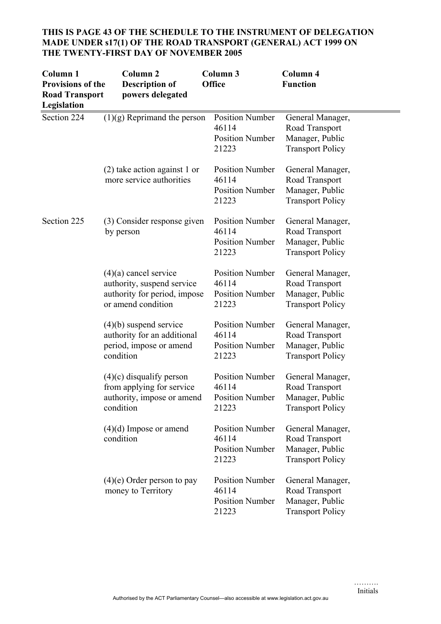| Column <sub>1</sub><br><b>Provisions of the</b><br><b>Road Transport</b><br>Legislation | Column <sub>2</sub><br><b>Description of</b><br>powers delegated                                            | Column <sub>3</sub><br>Office                                      | Column 4<br><b>Function</b>                                                      |
|-----------------------------------------------------------------------------------------|-------------------------------------------------------------------------------------------------------------|--------------------------------------------------------------------|----------------------------------------------------------------------------------|
| Section 224                                                                             | $(1)(g)$ Reprimand the person                                                                               | <b>Position Number</b><br>46114<br><b>Position Number</b><br>21223 | General Manager,<br>Road Transport<br>Manager, Public<br><b>Transport Policy</b> |
|                                                                                         | $(2)$ take action against 1 or<br>more service authorities                                                  | <b>Position Number</b><br>46114<br><b>Position Number</b><br>21223 | General Manager,<br>Road Transport<br>Manager, Public<br><b>Transport Policy</b> |
| Section 225                                                                             | (3) Consider response given<br>by person                                                                    | <b>Position Number</b><br>46114<br><b>Position Number</b><br>21223 | General Manager,<br>Road Transport<br>Manager, Public<br><b>Transport Policy</b> |
|                                                                                         | $(4)(a)$ cancel service<br>authority, suspend service<br>authority for period, impose<br>or amend condition | <b>Position Number</b><br>46114<br><b>Position Number</b><br>21223 | General Manager,<br>Road Transport<br>Manager, Public<br><b>Transport Policy</b> |
|                                                                                         | $(4)(b)$ suspend service<br>authority for an additional<br>period, impose or amend<br>condition             | <b>Position Number</b><br>46114<br><b>Position Number</b><br>21223 | General Manager,<br>Road Transport<br>Manager, Public<br><b>Transport Policy</b> |
|                                                                                         | $(4)(c)$ disqualify person<br>from applying for service<br>authority, impose or amend<br>condition          | <b>Position Number</b><br>46114<br><b>Position Number</b><br>21223 | General Manager,<br>Road Transport<br>Manager, Public<br><b>Transport Policy</b> |
|                                                                                         | $(4)(d)$ Impose or amend<br>condition                                                                       | <b>Position Number</b><br>46114<br><b>Position Number</b><br>21223 | General Manager,<br>Road Transport<br>Manager, Public<br><b>Transport Policy</b> |
|                                                                                         | $(4)(e)$ Order person to pay<br>money to Territory                                                          | <b>Position Number</b><br>46114<br><b>Position Number</b><br>21223 | General Manager,<br>Road Transport<br>Manager, Public<br><b>Transport Policy</b> |

# **THIS IS PAGE 43 OF THE SCHEDULE TO THE INSTRUMENT OF DELEGATION MADE UNDER s17(1) OF THE ROAD TRANSPORT (GENERAL) ACT 1999 ON THE TWENTY-FIRST DAY OF NOVEMBER 2005**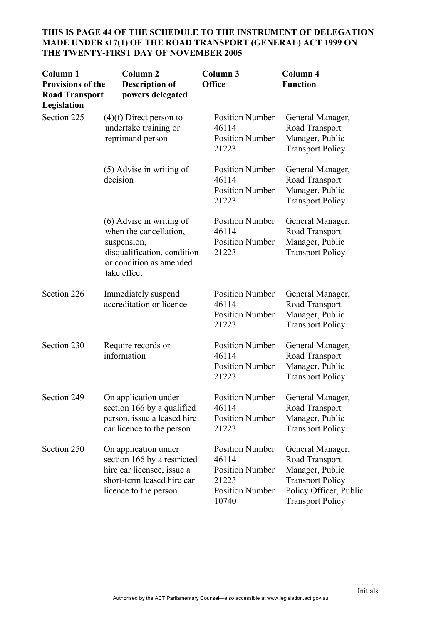| Column <sub>1</sub><br><b>Provisions of the</b><br><b>Road Transport</b><br>Legislation | Column <sub>2</sub><br><b>Description of</b><br>powers delegated                                                                             | Column 3<br>Office                                                                                    | Column 4<br><b>Function</b>                                                                                                           |
|-----------------------------------------------------------------------------------------|----------------------------------------------------------------------------------------------------------------------------------------------|-------------------------------------------------------------------------------------------------------|---------------------------------------------------------------------------------------------------------------------------------------|
| Section 225                                                                             | $(4)(f)$ Direct person to<br>undertake training or<br>reprimand person                                                                       | <b>Position Number</b><br>46114<br><b>Position Number</b><br>21223                                    | General Manager,<br>Road Transport<br>Manager, Public<br><b>Transport Policy</b>                                                      |
|                                                                                         | (5) Advise in writing of<br>decision                                                                                                         | <b>Position Number</b><br>46114<br><b>Position Number</b><br>21223                                    | General Manager,<br>Road Transport<br>Manager, Public<br><b>Transport Policy</b>                                                      |
|                                                                                         | $(6)$ Advise in writing of<br>when the cancellation,<br>suspension,<br>disqualification, condition<br>or condition as amended<br>take effect | <b>Position Number</b><br>46114<br><b>Position Number</b><br>21223                                    | General Manager,<br>Road Transport<br>Manager, Public<br><b>Transport Policy</b>                                                      |
| Section 226                                                                             | Immediately suspend<br>accreditation or licence                                                                                              | <b>Position Number</b><br>46114<br><b>Position Number</b><br>21223                                    | General Manager,<br>Road Transport<br>Manager, Public<br><b>Transport Policy</b>                                                      |
| Section 230                                                                             | Require records or<br>information                                                                                                            | <b>Position Number</b><br>46114<br><b>Position Number</b><br>21223                                    | General Manager,<br>Road Transport<br>Manager, Public<br><b>Transport Policy</b>                                                      |
| Section 249                                                                             | On application under<br>section 166 by a qualified<br>person, issue a leased hire<br>car licence to the person                               | <b>Position Number</b><br>46114<br><b>Position Number</b><br>21223                                    | General Manager,<br>Road Transport<br>Manager, Public<br><b>Transport Policy</b>                                                      |
| Section 250                                                                             | On application under<br>section 166 by a restricted<br>hire car licensee, issue a<br>short-term leased hire car<br>licence to the person     | <b>Position Number</b><br>46114<br><b>Position Number</b><br>21223<br><b>Position Number</b><br>10740 | General Manager,<br>Road Transport<br>Manager, Public<br><b>Transport Policy</b><br>Policy Officer, Public<br><b>Transport Policy</b> |

# **THIS IS PAGE 44 OF THE SCHEDULE TO THE INSTRUMENT OF DELEGATION MADE UNDER s17(1) OF THE ROAD TRANSPORT (GENERAL) ACT 1999 ON THE TWENTY-FIRST DAY OF NOVEMBER 2005**